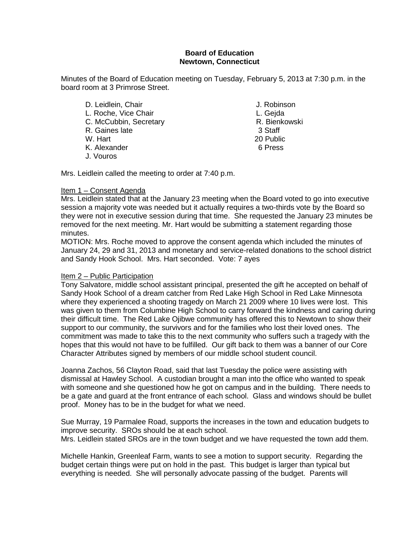#### **Board of Education Newtown, Connecticut**

Minutes of the Board of Education meeting on Tuesday, February 5, 2013 at 7:30 p.m. in the board room at 3 Primrose Street.

D. Leidlein, Chair **J. Robinson** L. Roche, Vice Chair (E. Chair L. Gejda L. Gejda L. Gejda L. Gejda L. Gejda L. Gejda L. Gejda L. Gejda L. Gejda L. Gejda L. Gejda L. Gejda L. Gejda L. Gejda L. Gejda L. Gejda L. Gejda L. Gejda L. Gejda L. Gejda L. Gejda L. C. McCubbin, Secretary **R. Bience R. Bience R. Bience R. Bience**<br>R. Gaines late 3 Staff R. Gaines late<br>W. Hart K. Alexander 6 Press J. Vouros

20 Public

Mrs. Leidlein called the meeting to order at 7:40 p.m.

#### Item 1 – Consent Agenda

Mrs. Leidlein stated that at the January 23 meeting when the Board voted to go into executive session a majority vote was needed but it actually requires a two-thirds vote by the Board so they were not in executive session during that time. She requested the January 23 minutes be removed for the next meeting. Mr. Hart would be submitting a statement regarding those minutes.

MOTION: Mrs. Roche moved to approve the consent agenda which included the minutes of January 24, 29 and 31, 2013 and monetary and service-related donations to the school district and Sandy Hook School. Mrs. Hart seconded. Vote: 7 ayes

#### Item 2 – Public Participation

Tony Salvatore, middle school assistant principal, presented the gift he accepted on behalf of Sandy Hook School of a dream catcher from Red Lake High School in Red Lake Minnesota where they experienced a shooting tragedy on March 21 2009 where 10 lives were lost. This was given to them from Columbine High School to carry forward the kindness and caring during their difficult time. The Red Lake Ojibwe community has offered this to Newtown to show their support to our community, the survivors and for the families who lost their loved ones. The commitment was made to take this to the next community who suffers such a tragedy with the hopes that this would not have to be fulfilled. Our gift back to them was a banner of our Core Character Attributes signed by members of our middle school student council.

Joanna Zachos, 56 Clayton Road, said that last Tuesday the police were assisting with dismissal at Hawley School. A custodian brought a man into the office who wanted to speak with someone and she questioned how he got on campus and in the building. There needs to be a gate and guard at the front entrance of each school. Glass and windows should be bullet proof. Money has to be in the budget for what we need.

Sue Murray, 19 Parmalee Road, supports the increases in the town and education budgets to improve security. SROs should be at each school. Mrs. Leidlein stated SROs are in the town budget and we have requested the town add them.

Michelle Hankin, Greenleaf Farm, wants to see a motion to support security. Regarding the budget certain things were put on hold in the past. This budget is larger than typical but everything is needed. She will personally advocate passing of the budget. Parents will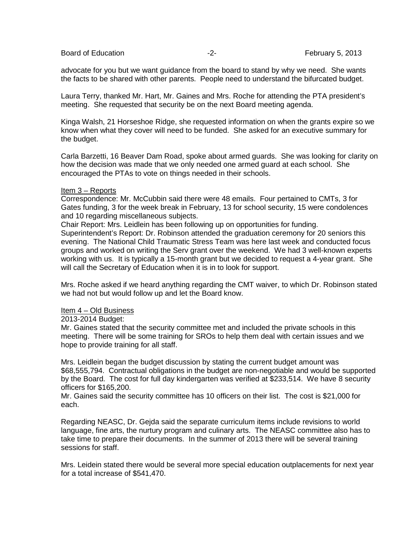advocate for you but we want guidance from the board to stand by why we need. She wants the facts to be shared with other parents. People need to understand the bifurcated budget.

Laura Terry, thanked Mr. Hart, Mr. Gaines and Mrs. Roche for attending the PTA president's meeting. She requested that security be on the next Board meeting agenda.

Kinga Walsh, 21 Horseshoe Ridge, she requested information on when the grants expire so we know when what they cover will need to be funded. She asked for an executive summary for the budget.

Carla Barzetti, 16 Beaver Dam Road, spoke about armed guards. She was looking for clarity on how the decision was made that we only needed one armed guard at each school. She encouraged the PTAs to vote on things needed in their schools.

#### Item 3 – Reports

Correspondence: Mr. McCubbin said there were 48 emails. Four pertained to CMTs, 3 for Gates funding, 3 for the week break in February, 13 for school security, 15 were condolences and 10 regarding miscellaneous subjects.

Chair Report: Mrs. Leidlein has been following up on opportunities for funding.

Superintendent's Report: Dr. Robinson attended the graduation ceremony for 20 seniors this evening. The National Child Traumatic Stress Team was here last week and conducted focus groups and worked on writing the Serv grant over the weekend. We had 3 well-known experts working with us. It is typically a 15-month grant but we decided to request a 4-year grant. She will call the Secretary of Education when it is in to look for support.

Mrs. Roche asked if we heard anything regarding the CMT waiver, to which Dr. Robinson stated we had not but would follow up and let the Board know.

#### Item 4 – Old Business

2013-2014 Budget:

Mr. Gaines stated that the security committee met and included the private schools in this meeting. There will be some training for SROs to help them deal with certain issues and we hope to provide training for all staff.

Mrs. Leidlein began the budget discussion by stating the current budget amount was \$68,555,794. Contractual obligations in the budget are non-negotiable and would be supported by the Board. The cost for full day kindergarten was verified at \$233,514. We have 8 security officers for \$165,200.

Mr. Gaines said the security committee has 10 officers on their list. The cost is \$21,000 for each.

Regarding NEASC, Dr. Gejda said the separate curriculum items include revisions to world language, fine arts, the nurtury program and culinary arts. The NEASC committee also has to take time to prepare their documents. In the summer of 2013 there will be several training sessions for staff.

Mrs. Leidein stated there would be several more special education outplacements for next year for a total increase of \$541,470.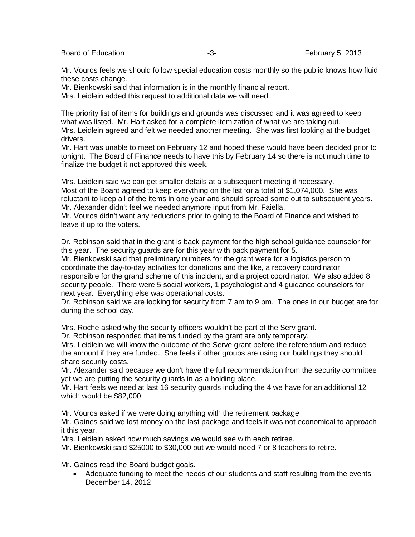Mr. Vouros feels we should follow special education costs monthly so the public knows how fluid these costs change.

Mr. Bienkowski said that information is in the monthly financial report. Mrs. Leidlein added this request to additional data we will need.

The priority list of items for buildings and grounds was discussed and it was agreed to keep what was listed. Mr. Hart asked for a complete itemization of what we are taking out. Mrs. Leidlein agreed and felt we needed another meeting. She was first looking at the budget drivers.

Mr. Hart was unable to meet on February 12 and hoped these would have been decided prior to tonight. The Board of Finance needs to have this by February 14 so there is not much time to finalize the budget it not approved this week.

Mrs. Leidlein said we can get smaller details at a subsequent meeting if necessary. Most of the Board agreed to keep everything on the list for a total of \$1,074,000. She was reluctant to keep all of the items in one year and should spread some out to subsequent years. Mr. Alexander didn't feel we needed anymore input from Mr. Faiella.

Mr. Vouros didn't want any reductions prior to going to the Board of Finance and wished to leave it up to the voters.

Dr. Robinson said that in the grant is back payment for the high school guidance counselor for this year. The security guards are for this year with pack payment for 5.

Mr. Bienkowski said that preliminary numbers for the grant were for a logistics person to coordinate the day-to-day activities for donations and the like, a recovery coordinator responsible for the grand scheme of this incident, and a project coordinator. We also added 8 security people. There were 5 social workers, 1 psychologist and 4 guidance counselors for next year. Everything else was operational costs.

Dr. Robinson said we are looking for security from 7 am to 9 pm. The ones in our budget are for during the school day.

Mrs. Roche asked why the security officers wouldn't be part of the Serv grant.

Dr. Robinson responded that items funded by the grant are only temporary.

Mrs. Leidlein we will know the outcome of the Serve grant before the referendum and reduce the amount if they are funded. She feels if other groups are using our buildings they should share security costs.

Mr. Alexander said because we don't have the full recommendation from the security committee yet we are putting the security guards in as a holding place.

Mr. Hart feels we need at last 16 security guards including the 4 we have for an additional 12 which would be \$82,000.

Mr. Vouros asked if we were doing anything with the retirement package

Mr. Gaines said we lost money on the last package and feels it was not economical to approach it this year.

Mrs. Leidlein asked how much savings we would see with each retiree.

Mr. Bienkowski said \$25000 to \$30,000 but we would need 7 or 8 teachers to retire.

Mr. Gaines read the Board budget goals.

• Adequate funding to meet the needs of our students and staff resulting from the events December 14, 2012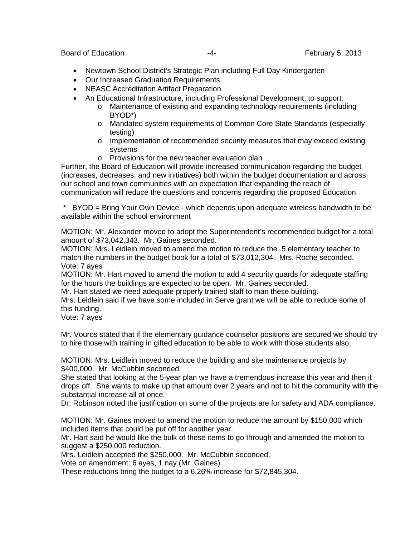- Newtown School District's Strategic Plan including Full Day Kindergarten
- Our Increased Graduation Requirements
- NEASC Accreditation Artifact Preparation
- An Educational Infrastructure, including Professional Development, to support:
	- o Maintenance of existing and expanding technology requirements (including BYOD\*)
	- o Mandated system requirements of Common Core State Standards (especially testing)
	- $\circ$  Implementation of recommended security measures that may exceed existing systems
	- o Provisions for the new teacher evaluation plan

Further, the Board of Education will provide increased communication regarding the budget (increases, decreases, and new initiatives) both within the budget documentation and across our school and town communities with an expectation that expanding the reach of communication will reduce the questions and concerns regarding the proposed Education

\* BYOD = Bring Your Own Device - which depends upon adequate wireless bandwidth to be available within the school environment

MOTION: Mr. Alexander moved to adopt the Superintendent's recommended budget for a total amount of \$73,042,343. Mr. Gaines seconded.

MOTION: Mrs. Leidlein moved to amend the motion to reduce the .5 elementary teacher to match the numbers in the budget book for a total of \$73,012,304. Mrs. Roche seconded. Vote: 7 ayes

MOTION: Mr. Hart moved to amend the motion to add 4 security guards for adequate staffing for the hours the buildings are expected to be open. Mr. Gaines seconded.

Mr. Hart stated we need adequate properly trained staff to man these building.

Mrs. Leidlein said if we have some included in Serve grant we will be able to reduce some of this funding.

Vote: 7 ayes

Mr. Vouros stated that if the elementary guidance counselor positions are secured we should try to hire those with training in gifted education to be able to work with those students also.

MOTION: Mrs. Leidlein moved to reduce the building and site maintenance projects by \$400,000. Mr. McCubbin seconded.

She stated that looking at the 5-year plan we have a tremendous increase this year and then it drops off. She wants to make up that amount over 2 years and not to hit the community with the substantial increase all at once.

Dr. Robinson noted the justification on some of the projects are for safety and ADA compliance.

MOTION: Mr. Gaines moved to amend the motion to reduce the amount by \$150,000 which included items that could be put off for another year.

Mr. Hart said he would like the bulk of these items to go through and amended the motion to suggest a \$250,000 reduction.

Mrs. Leidlein accepted the \$250,000. Mr. McCubbin seconded.

Vote on amendment: 6 ayes, 1 nay (Mr. Gaines)

These reductions bring the budget to a 6.26% increase for \$72,845,304.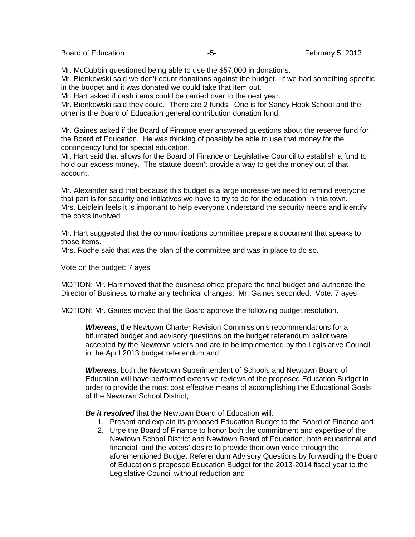Mr. McCubbin questioned being able to use the \$57,000 in donations.

Mr. Bienkowski said we don't count donations against the budget. If we had something specific in the budget and it was donated we could take that item out.

Mr. Hart asked if cash items could be carried over to the next year.

Mr. Bienkowski said they could. There are 2 funds. One is for Sandy Hook School and the other is the Board of Education general contribution donation fund.

Mr. Gaines asked if the Board of Finance ever answered questions about the reserve fund for the Board of Education. He was thinking of possibly be able to use that money for the contingency fund for special education.

Mr. Hart said that allows for the Board of Finance or Legislative Council to establish a fund to hold our excess money. The statute doesn't provide a way to get the money out of that account.

Mr. Alexander said that because this budget is a large increase we need to remind everyone that part is for security and initiatives we have to try to do for the education in this town. Mrs. Leidlein feels it is important to help everyone understand the security needs and identify the costs involved.

Mr. Hart suggested that the communications committee prepare a document that speaks to those items.

Mrs. Roche said that was the plan of the committee and was in place to do so.

Vote on the budget: 7 ayes

MOTION: Mr. Hart moved that the business office prepare the final budget and authorize the Director of Business to make any technical changes. Mr. Gaines seconded. Vote: 7 ayes

MOTION: Mr. Gaines moved that the Board approve the following budget resolution.

*Whereas***,** the Newtown Charter Revision Commission's recommendations for a bifurcated budget and advisory questions on the budget referendum ballot were accepted by the Newtown voters and are to be implemented by the Legislative Council in the April 2013 budget referendum and

*Whereas,* both the Newtown Superintendent of Schools and Newtown Board of Education will have performed extensive reviews of the proposed Education Budget in order to provide the most cost effective means of accomplishing the Educational Goals of the Newtown School District,

*Be it resolved* that the Newtown Board of Education will:

- 1. Present and explain its proposed Education Budget to the Board of Finance and
- 2. Urge the Board of Finance to honor both the commitment and expertise of the Newtown School District and Newtown Board of Education, both educational and financial, and the voters' desire to provide their own voice through the aforementioned Budget Referendum Advisory Questions by forwarding the Board of Education's proposed Education Budget for the 2013-2014 fiscal year to the Legislative Council without reduction and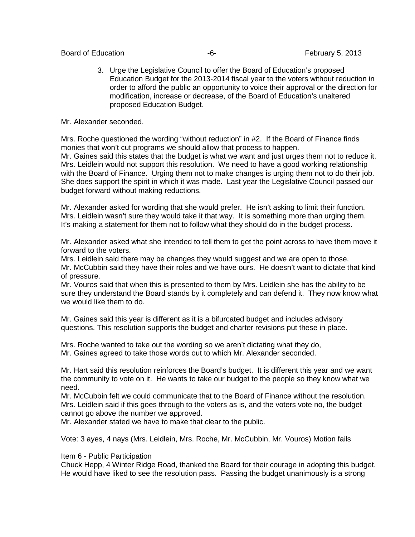Board of Education **February 5, 2013** 

3. Urge the Legislative Council to offer the Board of Education's proposed Education Budget for the 2013-2014 fiscal year to the voters without reduction in order to afford the public an opportunity to voice their approval or the direction for modification, increase or decrease, of the Board of Education's unaltered proposed Education Budget.

Mr. Alexander seconded.

Mrs. Roche questioned the wording "without reduction" in #2. If the Board of Finance finds monies that won't cut programs we should allow that process to happen.

Mr. Gaines said this states that the budget is what we want and just urges them not to reduce it. Mrs. Leidlein would not support this resolution. We need to have a good working relationship with the Board of Finance. Urging them not to make changes is urging them not to do their job. She does support the spirit in which it was made. Last year the Legislative Council passed our budget forward without making reductions.

Mr. Alexander asked for wording that she would prefer. He isn't asking to limit their function. Mrs. Leidlein wasn't sure they would take it that way. It is something more than urging them. It's making a statement for them not to follow what they should do in the budget process.

Mr. Alexander asked what she intended to tell them to get the point across to have them move it forward to the voters.

Mrs. Leidlein said there may be changes they would suggest and we are open to those. Mr. McCubbin said they have their roles and we have ours. He doesn't want to dictate that kind of pressure.

Mr. Vouros said that when this is presented to them by Mrs. Leidlein she has the ability to be sure they understand the Board stands by it completely and can defend it. They now know what we would like them to do.

Mr. Gaines said this year is different as it is a bifurcated budget and includes advisory questions. This resolution supports the budget and charter revisions put these in place.

Mrs. Roche wanted to take out the wording so we aren't dictating what they do, Mr. Gaines agreed to take those words out to which Mr. Alexander seconded.

Mr. Hart said this resolution reinforces the Board's budget. It is different this year and we want the community to vote on it. He wants to take our budget to the people so they know what we need.

Mr. McCubbin felt we could communicate that to the Board of Finance without the resolution. Mrs. Leidlein said if this goes through to the voters as is, and the voters vote no, the budget cannot go above the number we approved.

Mr. Alexander stated we have to make that clear to the public.

Vote: 3 ayes, 4 nays (Mrs. Leidlein, Mrs. Roche, Mr. McCubbin, Mr. Vouros) Motion fails

#### Item 6 - Public Participation

Chuck Hepp, 4 Winter Ridge Road, thanked the Board for their courage in adopting this budget. He would have liked to see the resolution pass. Passing the budget unanimously is a strong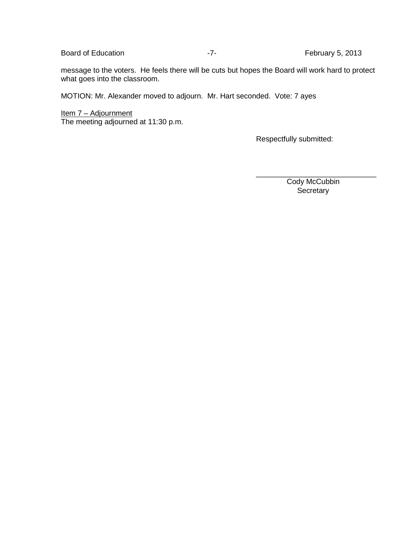Board of Education **February 5**, 2013

message to the voters. He feels there will be cuts but hopes the Board will work hard to protect what goes into the classroom.

MOTION: Mr. Alexander moved to adjourn. Mr. Hart seconded. Vote: 7 ayes

<u> Item 7 – Adjournment</u> The meeting adjourned at 11:30 p.m.

Respectfully submitted:

 Cody McCubbin **Secretary** 

\_\_\_\_\_\_\_\_\_\_\_\_\_\_\_\_\_\_\_\_\_\_\_\_\_\_\_\_\_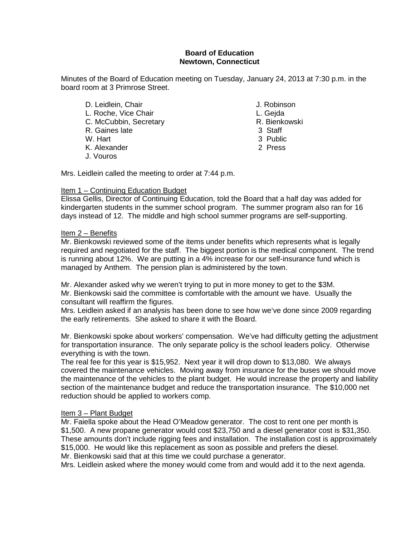#### **Board of Education Newtown, Connecticut**

Minutes of the Board of Education meeting on Tuesday, January 24, 2013 at 7:30 p.m. in the board room at 3 Primrose Street.

- D. Leidlein, Chair **J. Robinson** L. Roche, Vice Chair (E. C. Gejda L. Gejda L. Gejda L. Gejda L. Gejda L. Gejda L. Gejda L. Gejda L. Gejda L. C. McCubbin. Secretary C. McCubbin, Secretary **R. Bienkowski**n, Secretary **R. Bienkowskin**, Staff et al. (3) Staff et al. (3) Staff et al. (3) Staff et al. (3) Staff et al. (3) Staff et al. (3) Staff et al. (3) Staff et al. (3) Staff et al. (3) R. Gaines late<br>W. Hart K. Alexander 2 Press J. Vouros
	-
	-
	-
	-
	- 3 Public
	-

Mrs. Leidlein called the meeting to order at 7:44 p.m.

#### Item 1 – Continuing Education Budget

Elissa Gellis, Director of Continuing Education, told the Board that a half day was added for kindergarten students in the summer school program. The summer program also ran for 16 days instead of 12. The middle and high school summer programs are self-supporting.

#### Item 2 – Benefits

Mr. Bienkowski reviewed some of the items under benefits which represents what is legally required and negotiated for the staff. The biggest portion is the medical component. The trend is running about 12%. We are putting in a 4% increase for our self-insurance fund which is managed by Anthem. The pension plan is administered by the town.

Mr. Alexander asked why we weren't trying to put in more money to get to the \$3M. Mr. Bienkowski said the committee is comfortable with the amount we have. Usually the consultant will reaffirm the figures.

Mrs. Leidlein asked if an analysis has been done to see how we've done since 2009 regarding the early retirements. She asked to share it with the Board.

Mr. Bienkowski spoke about workers' compensation. We've had difficulty getting the adjustment for transportation insurance. The only separate policy is the school leaders policy. Otherwise everything is with the town.

The real fee for this year is \$15,952. Next year it will drop down to \$13,080. We always covered the maintenance vehicles. Moving away from insurance for the buses we should move the maintenance of the vehicles to the plant budget. He would increase the property and liability section of the maintenance budget and reduce the transportation insurance. The \$10,000 net reduction should be applied to workers comp.

#### Item 3 – Plant Budget

Mr. Faiella spoke about the Head O'Meadow generator. The cost to rent one per month is \$1,500. A new propane generator would cost \$23,750 and a diesel generator cost is \$31,350. These amounts don't include rigging fees and installation. The installation cost is approximately \$15,000. He would like this replacement as soon as possible and prefers the diesel. Mr. Bienkowski said that at this time we could purchase a generator.

Mrs. Leidlein asked where the money would come from and would add it to the next agenda.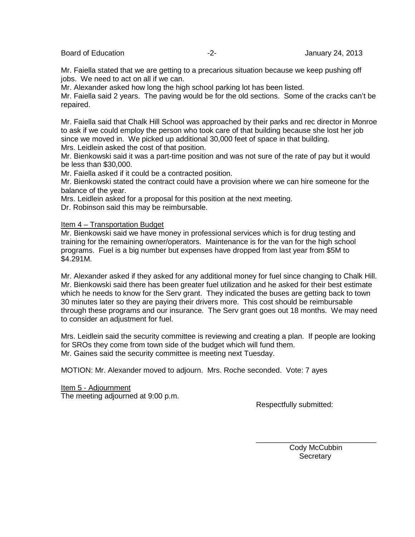Board of Education **-2-** Figure 24, 2013

Mr. Faiella stated that we are getting to a precarious situation because we keep pushing off jobs. We need to act on all if we can.

Mr. Alexander asked how long the high school parking lot has been listed.

Mr. Faiella said 2 years. The paving would be for the old sections. Some of the cracks can't be repaired.

Mr. Faiella said that Chalk Hill School was approached by their parks and rec director in Monroe to ask if we could employ the person who took care of that building because she lost her job since we moved in. We picked up additional 30,000 feet of space in that building. Mrs. Leidlein asked the cost of that position.

Mr. Bienkowski said it was a part-time position and was not sure of the rate of pay but it would be less than \$30,000.

Mr. Faiella asked if it could be a contracted position.

Mr. Bienkowski stated the contract could have a provision where we can hire someone for the balance of the year.

Mrs. Leidlein asked for a proposal for this position at the next meeting.

Dr. Robinson said this may be reimbursable.

#### Item 4 – Transportation Budget

Mr. Bienkowski said we have money in professional services which is for drug testing and training for the remaining owner/operators. Maintenance is for the van for the high school programs. Fuel is a big number but expenses have dropped from last year from \$5M to \$4.291M.

Mr. Alexander asked if they asked for any additional money for fuel since changing to Chalk Hill. Mr. Bienkowski said there has been greater fuel utilization and he asked for their best estimate which he needs to know for the Serv grant. They indicated the buses are getting back to town 30 minutes later so they are paying their drivers more. This cost should be reimbursable through these programs and our insurance. The Serv grant goes out 18 months. We may need to consider an adjustment for fuel.

Mrs. Leidlein said the security committee is reviewing and creating a plan. If people are looking for SROs they come from town side of the budget which will fund them. Mr. Gaines said the security committee is meeting next Tuesday.

MOTION: Mr. Alexander moved to adjourn. Mrs. Roche seconded. Vote: 7 ayes

#### Item 5 - Adjournment

The meeting adjourned at 9:00 p.m.

Respectfully submitted:

\_\_\_\_\_\_\_\_\_\_\_\_\_\_\_\_\_\_\_\_\_\_\_\_\_\_\_\_\_ Cody McCubbin **Secretary**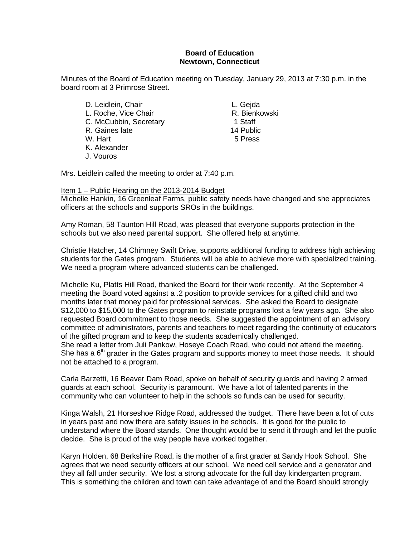#### **Board of Education Newtown, Connecticut**

Minutes of the Board of Education meeting on Tuesday, January 29, 2013 at 7:30 p.m. in the board room at 3 Primrose Street.

D. Leidlein, Chair **L. Gejda** L. Roche, Vice Chair **R. Bienkowski**<br>C. McCubbin, Secretary **R. Bienkowski** C. McCubbin, Secretary 1 Staff<br>
R. Gaines late 14 Public R. Gaines late<br>W. Hart K. Alexander J. Vouros

5 Press

Mrs. Leidlein called the meeting to order at 7:40 p.m.

#### Item 1 – Public Hearing on the 2013-2014 Budget

Michelle Hankin, 16 Greenleaf Farms, public safety needs have changed and she appreciates officers at the schools and supports SROs in the buildings.

Amy Roman, 58 Taunton Hill Road, was pleased that everyone supports protection in the schools but we also need parental support. She offered help at anytime.

Christie Hatcher, 14 Chimney Swift Drive, supports additional funding to address high achieving students for the Gates program. Students will be able to achieve more with specialized training. We need a program where advanced students can be challenged.

Michelle Ku, Platts Hill Road, thanked the Board for their work recently. At the September 4 meeting the Board voted against a .2 position to provide services for a gifted child and two months later that money paid for professional services. She asked the Board to designate \$12,000 to \$15,000 to the Gates program to reinstate programs lost a few years ago. She also requested Board commitment to those needs. She suggested the appointment of an advisory committee of administrators, parents and teachers to meet regarding the continuity of educators of the gifted program and to keep the students academically challenged. She read a letter from Juli Pankow, Hoseye Coach Road, who could not attend the meeting. She has a  $6<sup>th</sup>$  grader in the Gates program and supports money to meet those needs. It should not be attached to a program.

Carla Barzetti, 16 Beaver Dam Road, spoke on behalf of security guards and having 2 armed guards at each school. Security is paramount. We have a lot of talented parents in the community who can volunteer to help in the schools so funds can be used for security.

Kinga Walsh, 21 Horseshoe Ridge Road, addressed the budget. There have been a lot of cuts in years past and now there are safety issues in he schools. It is good for the public to understand where the Board stands. One thought would be to send it through and let the public decide. She is proud of the way people have worked together.

Karyn Holden, 68 Berkshire Road, is the mother of a first grader at Sandy Hook School. She agrees that we need security officers at our school. We need cell service and a generator and they all fall under security. We lost a strong advocate for the full day kindergarten program. This is something the children and town can take advantage of and the Board should strongly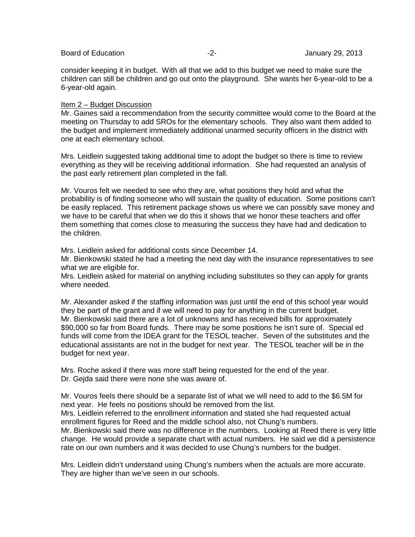consider keeping it in budget. With all that we add to this budget we need to make sure the children can still be children and go out onto the playground. She wants her 6-year-old to be a 6-year-old again.

#### Item 2 – Budget Discussion

Mr. Gaines said a recommendation from the security committee would come to the Board at the meeting on Thursday to add SROs for the elementary schools. They also want them added to the budget and implement immediately additional unarmed security officers in the district with one at each elementary school.

Mrs. Leidlein suggested taking additional time to adopt the budget so there is time to review everything as they will be receiving additional information. She had requested an analysis of the past early retirement plan completed in the fall.

Mr. Vouros felt we needed to see who they are, what positions they hold and what the probability is of finding someone who will sustain the quality of education. Some positions can't be easily replaced. This retirement package shows us where we can possibly save money and we have to be careful that when we do this it shows that we honor these teachers and offer them something that comes close to measuring the success they have had and dedication to the children.

Mrs. Leidlein asked for additional costs since December 14.

Mr. Bienkowski stated he had a meeting the next day with the insurance representatives to see what we are eligible for.

Mrs. Leidlein asked for material on anything including substitutes so they can apply for grants where needed.

Mr. Alexander asked if the staffing information was just until the end of this school year would they be part of the grant and if we will need to pay for anything in the current budget. Mr. Bienkowski said there are a lot of unknowns and has received bills for approximately \$90,000 so far from Board funds. There may be some positions he isn't sure of. Special ed funds will come from the IDEA grant for the TESOL teacher. Seven of the substitutes and the educational assistants are not in the budget for next year. The TESOL teacher will be in the budget for next year.

Mrs. Roche asked if there was more staff being requested for the end of the year. Dr. Geida said there were none she was aware of.

Mr. Vouros feels there should be a separate list of what we will need to add to the \$6.5M for next year. He feels no positions should be removed from the list.

Mrs. Leidlein referred to the enrollment information and stated she had requested actual enrollment figures for Reed and the middle school also, not Chung's numbers.

Mr. Bienkowski said there was no difference in the numbers. Looking at Reed there is very little change. He would provide a separate chart with actual numbers. He said we did a persistence rate on our own numbers and it was decided to use Chung's numbers for the budget.

Mrs. Leidlein didn't understand using Chung's numbers when the actuals are more accurate. They are higher than we've seen in our schools.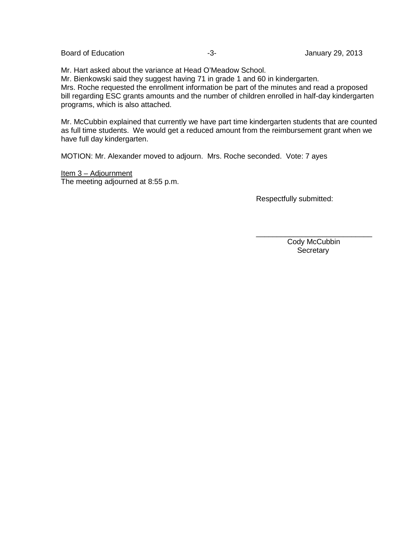Mr. Hart asked about the variance at Head O'Meadow School. Mr. Bienkowski said they suggest having 71 in grade 1 and 60 in kindergarten. Mrs. Roche requested the enrollment information be part of the minutes and read a proposed bill regarding ESC grants amounts and the number of children enrolled in half-day kindergarten programs, which is also attached.

Mr. McCubbin explained that currently we have part time kindergarten students that are counted as full time students. We would get a reduced amount from the reimbursement grant when we have full day kindergarten.

MOTION: Mr. Alexander moved to adjourn. Mrs. Roche seconded. Vote: 7 ayes

Item 3 – Adjournment The meeting adjourned at 8:55 p.m.

Respectfully submitted:

\_\_\_\_\_\_\_\_\_\_\_\_\_\_\_\_\_\_\_\_\_\_\_\_\_\_\_\_ Cody McCubbin **Secretary**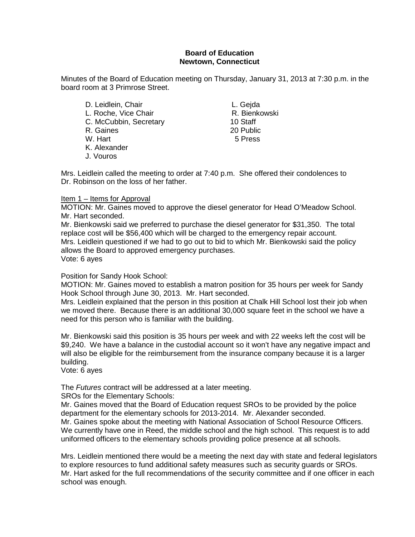#### **Board of Education Newtown, Connecticut**

Minutes of the Board of Education meeting on Thursday, January 31, 2013 at 7:30 p.m. in the board room at 3 Primrose Street.

D. Leidlein, Chair **L. Gejda** L. Roche, Vice Chair **R. Bienkowski**<br>C. McCubbin, Secretary **R. Bienkowski** C. McCubbin, Secretary 10 Staff<br>R. Gaines 20 Public R. Gaines 20 Public<br>
W. Hart 5 Press W. Hart K. Alexander J. Vouros

Mrs. Leidlein called the meeting to order at 7:40 p.m. She offered their condolences to Dr. Robinson on the loss of her father.

#### Item 1 – Items for Approval

MOTION: Mr. Gaines moved to approve the diesel generator for Head O'Meadow School. Mr. Hart seconded.

Mr. Bienkowski said we preferred to purchase the diesel generator for \$31,350. The total replace cost will be \$56,400 which will be charged to the emergency repair account. Mrs. Leidlein questioned if we had to go out to bid to which Mr. Bienkowski said the policy allows the Board to approved emergency purchases. Vote: 6 ayes

#### Position for Sandy Hook School:

MOTION: Mr. Gaines moved to establish a matron position for 35 hours per week for Sandy Hook School through June 30, 2013. Mr. Hart seconded.

Mrs. Leidlein explained that the person in this position at Chalk Hill School lost their job when we moved there. Because there is an additional 30,000 square feet in the school we have a need for this person who is familiar with the building.

Mr. Bienkowski said this position is 35 hours per week and with 22 weeks left the cost will be \$9,240. We have a balance in the custodial account so it won't have any negative impact and will also be eligible for the reimbursement from the insurance company because it is a larger building.

Vote: 6 ayes

The *Futures* contract will be addressed at a later meeting.

SROs for the Elementary Schools:

Mr. Gaines moved that the Board of Education request SROs to be provided by the police department for the elementary schools for 2013-2014. Mr. Alexander seconded. Mr. Gaines spoke about the meeting with National Association of School Resource Officers. We currently have one in Reed, the middle school and the high school. This request is to add uniformed officers to the elementary schools providing police presence at all schools.

Mrs. Leidlein mentioned there would be a meeting the next day with state and federal legislators to explore resources to fund additional safety measures such as security guards or SROs. Mr. Hart asked for the full recommendations of the security committee and if one officer in each school was enough.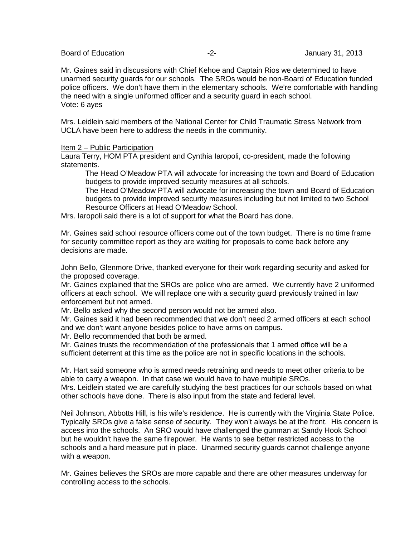Board of Education **-2-** Figure 2. The set of Education of Education 1.2-1.2013

Mr. Gaines said in discussions with Chief Kehoe and Captain Rios we determined to have unarmed security guards for our schools. The SROs would be non-Board of Education funded police officers. We don't have them in the elementary schools. We're comfortable with handling the need with a single uniformed officer and a security guard in each school. Vote: 6 ayes

Mrs. Leidlein said members of the National Center for Child Traumatic Stress Network from UCLA have been here to address the needs in the community.

#### Item 2 – Public Participation

Laura Terry, HOM PTA president and Cynthia Iaropoli, co-president, made the following statements.

The Head O'Meadow PTA will advocate for increasing the town and Board of Education budgets to provide improved security measures at all schools.

The Head O'Meadow PTA will advocate for increasing the town and Board of Education budgets to provide improved security measures including but not limited to two School Resource Officers at Head O'Meadow School.

Mrs. Iaropoli said there is a lot of support for what the Board has done.

Mr. Gaines said school resource officers come out of the town budget. There is no time frame for security committee report as they are waiting for proposals to come back before any decisions are made.

John Bello, Glenmore Drive, thanked everyone for their work regarding security and asked for the proposed coverage.

Mr. Gaines explained that the SROs are police who are armed. We currently have 2 uniformed officers at each school. We will replace one with a security guard previously trained in law enforcement but not armed.

Mr. Bello asked why the second person would not be armed also.

Mr. Gaines said it had been recommended that we don't need 2 armed officers at each school and we don't want anyone besides police to have arms on campus.

Mr. Bello recommended that both be armed.

Mr. Gaines trusts the recommendation of the professionals that 1 armed office will be a sufficient deterrent at this time as the police are not in specific locations in the schools.

Mr. Hart said someone who is armed needs retraining and needs to meet other criteria to be able to carry a weapon. In that case we would have to have multiple SROs. Mrs. Leidlein stated we are carefully studying the best practices for our schools based on what other schools have done. There is also input from the state and federal level.

Neil Johnson, Abbotts Hill, is his wife's residence. He is currently with the Virginia State Police. Typically SROs give a false sense of security. They won't always be at the front. His concern is access into the schools. An SRO would have challenged the gunman at Sandy Hook School but he wouldn't have the same firepower. He wants to see better restricted access to the schools and a hard measure put in place. Unarmed security guards cannot challenge anyone with a weapon.

Mr. Gaines believes the SROs are more capable and there are other measures underway for controlling access to the schools.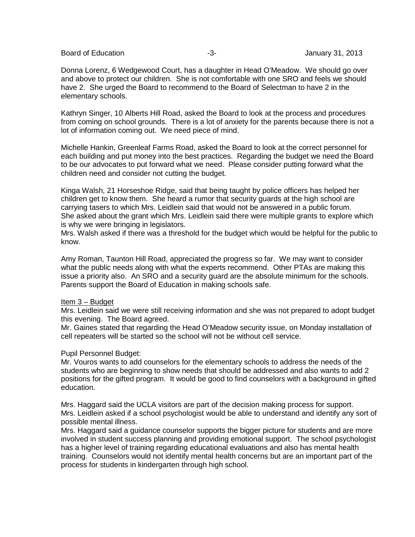Board of Education **-3-** Figure 2013 **January 31, 2013** 

Donna Lorenz, 6 Wedgewood Court, has a daughter in Head O'Meadow. We should go over and above to protect our children. She is not comfortable with one SRO and feels we should have 2. She urged the Board to recommend to the Board of Selectman to have 2 in the elementary schools.

Kathryn Singer, 10 Alberts Hill Road, asked the Board to look at the process and procedures from coming on school grounds. There is a lot of anxiety for the parents because there is not a lot of information coming out. We need piece of mind.

Michelle Hankin, Greenleaf Farms Road, asked the Board to look at the correct personnel for each building and put money into the best practices. Regarding the budget we need the Board to be our advocates to put forward what we need. Please consider putting forward what the children need and consider not cutting the budget.

Kinga Walsh, 21 Horseshoe Ridge, said that being taught by police officers has helped her children get to know them. She heard a rumor that security guards at the high school are carrying tasers to which Mrs. Leidlein said that would not be answered in a public forum. She asked about the grant which Mrs. Leidlein said there were multiple grants to explore which is why we were bringing in legislators.

Mrs. Walsh asked if there was a threshold for the budget which would be helpful for the public to know.

Amy Roman, Taunton Hill Road, appreciated the progress so far. We may want to consider what the public needs along with what the experts recommend. Other PTAs are making this issue a priority also. An SRO and a security guard are the absolute minimum for the schools. Parents support the Board of Education in making schools safe.

#### Item 3 – Budget

Mrs. Leidlein said we were still receiving information and she was not prepared to adopt budget this evening. The Board agreed.

Mr. Gaines stated that regarding the Head O'Meadow security issue, on Monday installation of cell repeaters will be started so the school will not be without cell service.

#### Pupil Personnel Budget:

Mr. Vouros wants to add counselors for the elementary schools to address the needs of the students who are beginning to show needs that should be addressed and also wants to add 2 positions for the gifted program. It would be good to find counselors with a background in gifted education.

Mrs. Haggard said the UCLA visitors are part of the decision making process for support. Mrs. Leidlein asked if a school psychologist would be able to understand and identify any sort of possible mental illness.

Mrs. Haggard said a guidance counselor supports the bigger picture for students and are more involved in student success planning and providing emotional support. The school psychologist has a higher level of training regarding educational evaluations and also has mental health training. Counselors would not identify mental health concerns but are an important part of the process for students in kindergarten through high school.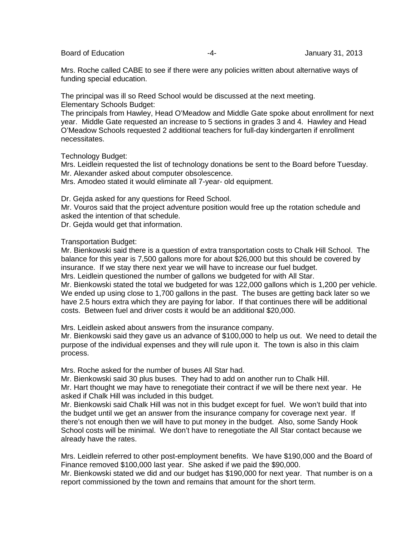Board of Education **Figure 1.1 Contract 1.1 Contract 1.1 Contract 2.1 Contract 2.1 Contract 2.1 Contract 2.1 Contract 2.1 Contract 2.1 Contract 2.1 Contract 2.1 Contract 2.1 Contract 2.1 Contract 2.1 Contract 2.1 Contract** 

Mrs. Roche called CABE to see if there were any policies written about alternative ways of funding special education.

The principal was ill so Reed School would be discussed at the next meeting. Elementary Schools Budget:

The principals from Hawley, Head O'Meadow and Middle Gate spoke about enrollment for next year. Middle Gate requested an increase to 5 sections in grades 3 and 4. Hawley and Head O'Meadow Schools requested 2 additional teachers for full-day kindergarten if enrollment necessitates.

Technology Budget:

Mrs. Leidlein requested the list of technology donations be sent to the Board before Tuesday. Mr. Alexander asked about computer obsolescence.

Mrs. Amodeo stated it would eliminate all 7-year- old equipment.

Dr. Gejda asked for any questions for Reed School.

Mr. Vouros said that the project adventure position would free up the rotation schedule and asked the intention of that schedule.

Dr. Gejda would get that information.

Transportation Budget:

Mr. Bienkowski said there is a question of extra transportation costs to Chalk Hill School. The balance for this year is 7,500 gallons more for about \$26,000 but this should be covered by insurance. If we stay there next year we will have to increase our fuel budget. Mrs. Leidlein questioned the number of gallons we budgeted for with All Star.

Mr. Bienkowski stated the total we budgeted for was 122,000 gallons which is 1,200 per vehicle. We ended up using close to 1,700 gallons in the past. The buses are getting back later so we have 2.5 hours extra which they are paying for labor. If that continues there will be additional costs. Between fuel and driver costs it would be an additional \$20,000.

Mrs. Leidlein asked about answers from the insurance company.

Mr. Bienkowski said they gave us an advance of \$100,000 to help us out. We need to detail the purpose of the individual expenses and they will rule upon it. The town is also in this claim process.

Mrs. Roche asked for the number of buses All Star had.

Mr. Bienkowski said 30 plus buses. They had to add on another run to Chalk Hill. Mr. Hart thought we may have to renegotiate their contract if we will be there next year. He asked if Chalk Hill was included in this budget.

Mr. Bienkowski said Chalk Hill was not in this budget except for fuel. We won't build that into the budget until we get an answer from the insurance company for coverage next year. If there's not enough then we will have to put money in the budget. Also, some Sandy Hook School costs will be minimal. We don't have to renegotiate the All Star contact because we already have the rates.

Mrs. Leidlein referred to other post-employment benefits. We have \$190,000 and the Board of Finance removed \$100,000 last year. She asked if we paid the \$90,000.

Mr. Bienkowski stated we did and our budget has \$190,000 for next year. That number is on a report commissioned by the town and remains that amount for the short term.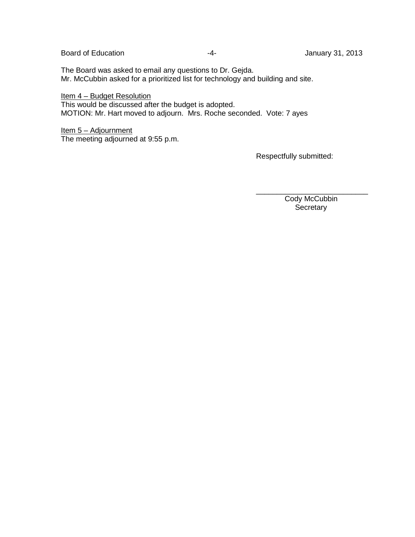The Board was asked to email any questions to Dr. Gejda. Mr. McCubbin asked for a prioritized list for technology and building and site.

Item 4 – Budget Resolution This would be discussed after the budget is adopted. MOTION: Mr. Hart moved to adjourn. Mrs. Roche seconded. Vote: 7 ayes

Item 5 - Adjournment The meeting adjourned at 9:55 p.m.

Respectfully submitted:

\_\_\_\_\_\_\_\_\_\_\_\_\_\_\_\_\_\_\_\_\_\_\_\_\_\_\_ Cody McCubbin **Secretary**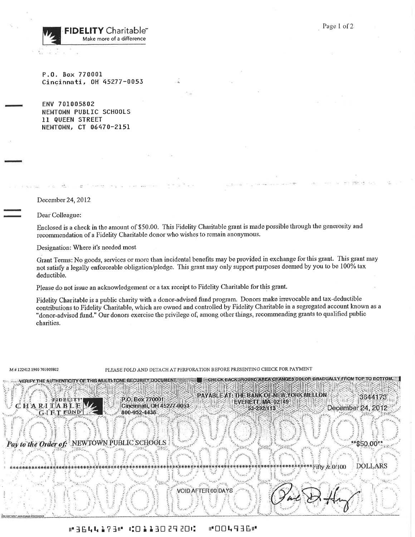**FIDELITY** Charitable<sup>®</sup> Make more of a difference

P.O. Box 770001 Cincinnati, OH 45277-0053

ENV 701005802 NEWTOWN PUBLIC SCHOOLS 11 QUEEN STREET NEWTOWN, CT 06470-2151

December 24, 2012

Dear Colleague:

Enclosed is a check in the amount of \$50.00. This Fidelity Charitable grant is made possible through the generosity and recommendation of a Fidelity Charitable donor who wishes to remain anonymous.

Designation: Where it's needed most

VERIFY THE AUTHENTICITY OF THIS MULTI-TONE SECURITY DOCUMENT.

Pay to the Order of: NEWTOWN PUBLIC SCHOOLS

Grant Terms: No goods, services or more than incidental benefits may be provided in exchange for this grant. This grant may not satisfy a legally enforceable obligation/pledge. This grant may only support purposes deemed by you to be 100% tax deductible.

Please do not issue an acknowledgement or a tax receipt to Fidelity Charitable for this grant.

Fidelity Charitable is a public charity with a donor-advised fund program. Donors make irrevocable and tax-deductible contributions to Fidelity Charitable, which are owned and controlled by Fidelity Charitable in a segregated account known as a "donor-advised fund." Our donors exercise the privilege of, among other things, recommending grants to qualified public charities.

M #122412 1900 701005802

PLEASE FOLD AND DETACH AT PERFORATION BEFORE PRESENTING CHECK FOR PAYMENT

FIDELITY CHARITABLE **GIET FUND** 

PAYABLE AT: THE BANK OF NEW YORK MELLON P.O. Box 770001 EVERETT, MA 02149 Cincinnati, OH 45277-0053 53-292/113 800-952-4438

December 24, 2012

**CHECK BACKGROUND AREA CHANGES COLOR GRADUALLY FROM TOP TO BOTTOM** 

\$50.00\*\*

3644173

**DOLLARS** \*Fifty & 0/100

VOID AFTER 60 DAYS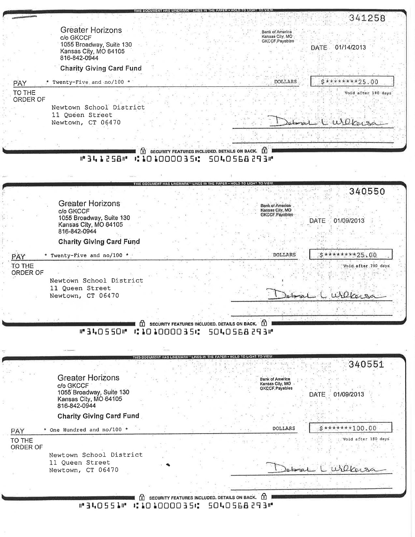|                           |                                                                  | なびパジロ:弦波:(6)耳り渡るの室可(4):3 (南)(6)武<br>341258                                            |
|---------------------------|------------------------------------------------------------------|---------------------------------------------------------------------------------------|
|                           | <b>Greater Horizons</b><br>c/o GKCCF<br>1055 Broadway, Suite 130 | <b>Bank of America</b><br>Kansas City, MO<br>GKCCF.Payables                           |
|                           | Kansas City, MO 64105<br>816-842-0944                            | DATE 01/14/2013                                                                       |
|                           | <b>Charity Giving Card Fund</b>                                  |                                                                                       |
| <b>PAY</b>                | * Twenty-Five and no/100 *                                       | $$********25.00$<br><b>DOLLARS</b>                                                    |
| TO THE<br><b>ORDER OF</b> |                                                                  | Void after 180 days                                                                   |
|                           | Newtown School District                                          |                                                                                       |
|                           | 11 Queen Street<br>Newtown, CT 06470                             | obrai l'Urlecoa                                                                       |
|                           |                                                                  |                                                                                       |
|                           |                                                                  | $\bigcap$ SECURITY FEATURES INCLUDED. DETAILS ON BACK. $\bigcap$                      |
|                           | <b>M341258M</b>                                                  | :101000035:<br>5040568293#                                                            |
|                           |                                                                  |                                                                                       |
|                           |                                                                  | 340550                                                                                |
|                           | <b>Greater Horizons</b>                                          | <b>Bank of America</b><br>Kansas City, MO                                             |
|                           | c/o GKCCF<br>1055 Broadway, Suite 130                            | <b>GKCCF.Payables</b><br>01/09/2013<br><b>DATE</b>                                    |
|                           | Kansas City, MO 64105<br>816-842-0944                            |                                                                                       |
|                           | <b>Charity Giving Card Fund</b>                                  |                                                                                       |
| PAY                       | * Twenty-Five and no/100 *                                       | $5*******25.00$<br><b>DOLLARS</b>                                                     |
| TO THE<br><b>ORDER OF</b> |                                                                  | Void after 180 days.                                                                  |
|                           | Newtown School District<br>11 Queen Street                       |                                                                                       |
|                           | Newtown, CT 06470                                                | Defenal L Wilkersa                                                                    |
|                           |                                                                  |                                                                                       |
|                           | W340550 M C 10100035C                                            | $\Omega$ SECURITY FEATURES INCLUDED. DETAILS ON BACK. $\Omega$<br><b>MEPS BacO4OE</b> |
|                           |                                                                  |                                                                                       |
|                           |                                                                  |                                                                                       |
|                           |                                                                  | 340551                                                                                |
|                           | <b>Greater Horizons</b><br>c/o GKCCF                             | <b>Bank of America</b><br>Kansas City, MO                                             |
|                           | 1055 Broadway, Suite 130<br>Kansas City, MO 64105                | GKCCF.Payables<br>01/09/2013<br><b>DATE</b>                                           |
|                           | 816-842-0944                                                     |                                                                                       |
|                           | <b>Charity Giving Card Fund</b>                                  | $5******100.00$                                                                       |
| PAY<br>TO THE             | * One Hundred and no/100 *                                       | DOLLARS<br>Void after 180 days                                                        |
| ORDER OF                  | Newtown School District                                          |                                                                                       |
|                           | 11 Queen Street                                                  | Wilkersa                                                                              |
|                           | Newtown, CT 06470                                                |                                                                                       |
|                           |                                                                  |                                                                                       |
|                           | #340551# #10100035#                                              | $\hat{r}$ security features included. Details on BACK. $\hat{r}$<br>50405682931       |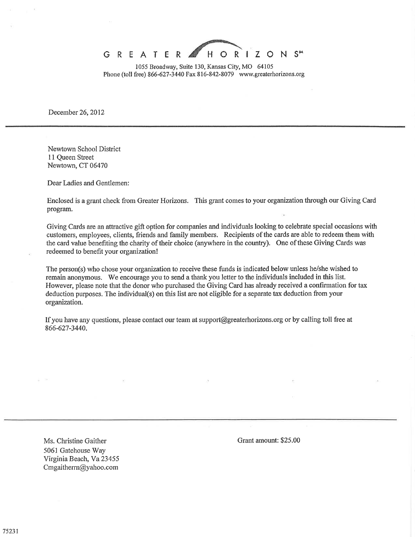

1055 Broadway, Suite 130, Kansas City, MO 64105 Phone (toll free) 866-627-3440 Fax 816-842-8079 www.greaterhorizons.org

December 26, 2012

Newtown School District 11 Oueen Street Newtown, CT 06470

Dear Ladies and Gentlemen:

Enclosed is a grant check from Greater Horizons. This grant comes to your organization through our Giving Card program.

Giving Cards are an attractive gift option for companies and individuals looking to celebrate special occasions with customers, employees, clients, friends and family members. Recipients of the cards are able to redeem them with the card value benefiting the charity of their choice (anywhere in the country). One of these Giving Cards was redeemed to benefit your organization!

The person(s) who chose your organization to receive these funds is indicated below unless he/she wished to remain anonymous. We encourage you to send a thank you letter to the individuals included in this list. However, please note that the donor who purchased the Giving Card has already received a confirmation for tax deduction purposes. The individual(s) on this list are not eligible for a separate tax deduction from your organization.

If you have any questions, please contact our team at support@greaterhorizons.org or by calling toll free at 866-627-3440.

Ms. Christine Gaither 5061 Gatehouse Way Virginia Beach, Va 23455 Cmgaitherrn@yahoo.com

Grant amount: \$25.00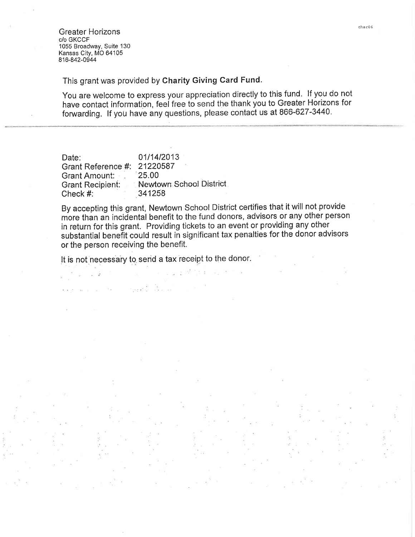**Greater Horizons** c/o GKCCF 1055 Broadway, Suite 130 Kansas City, MO 64105 816-842-0944

This grant was provided by Charity Giving Card Fund.

You are welcome to express your appreciation directly to this fund. If you do not have contact information, feel free to send the thank you to Greater Horizons for forwarding. If you have any questions, please contact us at 866-627-3440.

01/14/2013 Date: 21220587 Grant Reference #: 25.00 Grant Amount: = Newtown School District **Grant Recipient:** Check #: 341258

By accepting this grant, Newtown School District certifies that it will not provide more than an incidental benefit to the fund donors, advisors or any other person in return for this grant. Providing tickets to an event or providing any other substantial benefit could result in significant tax penalties for the donor advisors or the person receiving the benefit.

It is not necessary to send a tax receipt to the donor.

ing a big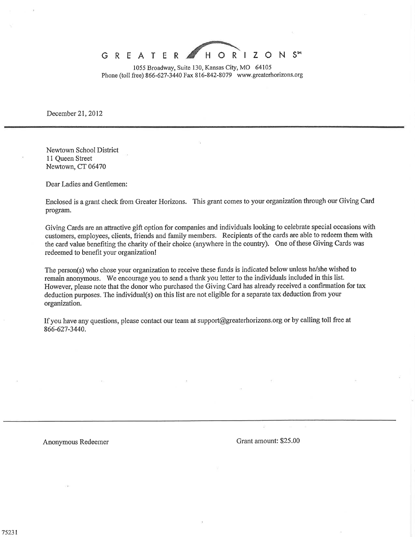1055 Broadway, Suite 130, Kansas City, MO 64105 Phone (toll free) 866-627-3440 Fax 816-842-8079 www.greaterhorizons.org

December 21, 2012

Newtown School District 11 Queen Street Newtown, CT 06470

Dear Ladies and Gentlemen:

Enclosed is a grant check from Greater Horizons. This grant comes to your organization through our Giving Card program.

Giving Cards are an attractive gift option for companies and individuals looking to celebrate special occasions with customers, employees, clients, friends and family members. Recipients of the cards are able to redeem them with the card value benefiting the charity of their choice (anywhere in the country). One of these Giving Cards was redeemed to benefit your organization!

The person(s) who chose your organization to receive these funds is indicated below unless he/she wished to remain anonymous. We encourage you to send a thank you letter to the individuals included in this list. However, please note that the donor who purchased the Giving Card has already received a confirmation for tax deduction purposes. The individual(s) on this list are not eligible for a separate tax deduction from your organization.

If you have any questions, please contact our team at support@greaterhorizons.org or by calling toll free at 866-627-3440.

Anonymous Redeemer

Grant amount: \$25.00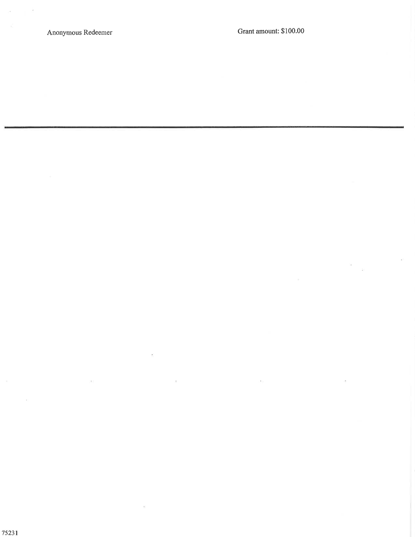i e c

 $\geq$ 

Ŷ.

 $\bar{A}$ 

 $\sim$ 

 $\gamma_{\rm f}$ 

 $\bar{a}$  $\lambda$ 

 $\bar{E}$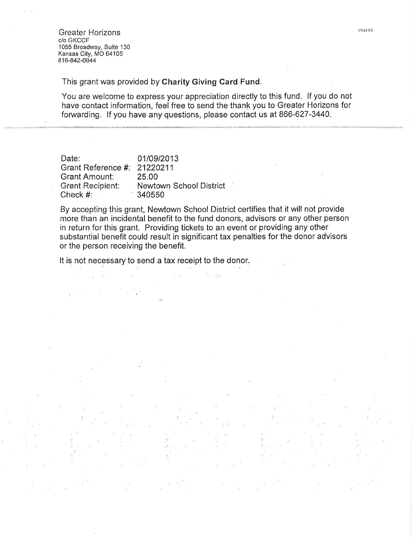**Greater Horizons** c/o GKCCF 1055 Broadway, Suite 130 Kansas City, MO 64105 816-842-0944

This grant was provided by Charity Giving Card Fund.

You are welcome to express your appreciation directly to this fund. If you do not have contact information, feel free to send the thank you to Greater Horizons for forwarding. If you have any questions, please contact us at 866-627-3440.

| Date:                       | 01/09/2013                     |
|-----------------------------|--------------------------------|
| Grant Reference #: 21220211 |                                |
| <b>Grant Amount:</b>        | 25.00                          |
| Grant Recipient:            | <b>Newtown School District</b> |
| Check $#$ :                 | 340550                         |

By accepting this grant, Newtown School District certifies that it will not provide more than an incidental benefit to the fund donors, advisors or any other person in return for this grant. Providing tickets to an event or providing any other substantial benefit could result in significant tax penalties for the donor advisors or the person receiving the benefit.

÷.

It is not necessary to send a tax receipt to the donor.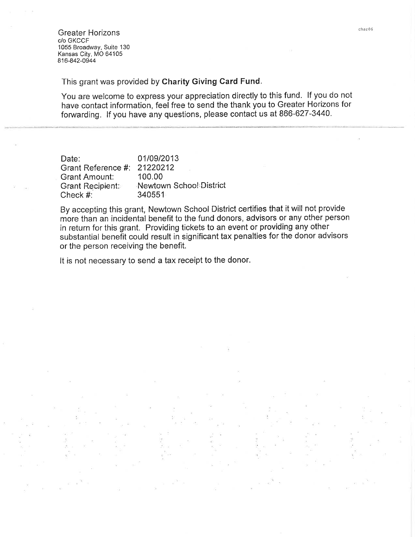**Greater Horizons** c/o GKCCF 1055 Broadway, Suite 130 Kansas City, MO 64105 816-842-0944

This grant was provided by Charity Giving Card Fund.

You are welcome to express your appreciation directly to this fund. If you do not have contact information, feel free to send the thank you to Greater Horizons for forwarding. If you have any questions, please contact us at 866-627-3440.

| Date:                | 01/09/2013              |
|----------------------|-------------------------|
| Grant Reference #:   | 21220212                |
| <b>Grant Amount:</b> | 100.00                  |
| Grant Recipient:     | Newtown School District |
| Check #:             | 340551                  |

By accepting this grant, Newtown School District certifies that it will not provide more than an incidental benefit to the fund donors, advisors or any other person in return for this grant. Providing tickets to an event or providing any other substantial benefit could result in significant tax penalties for the donor advisors or the person receiving the benefit.

It is not necessary to send a tax receipt to the donor.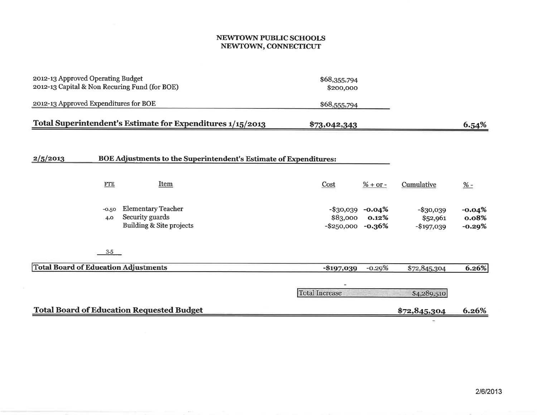#### NEWTOWN PUBLIC SCHOOLS NEWTOWN, CONNECTICUT

| 2012-13 Approved Operating Budget<br>2012-13 Capital & Non Recuring Fund (for BOE) | \$68,355,794<br>\$200,000                                                |                                        |                               |                                         |                               |
|------------------------------------------------------------------------------------|--------------------------------------------------------------------------|----------------------------------------|-------------------------------|-----------------------------------------|-------------------------------|
| 2012-13 Approved Expenditures for BOE                                              |                                                                          | \$68,555,794                           |                               |                                         |                               |
|                                                                                    | Total Superintendent's Estimate for Expenditures 1/15/2013               | \$73,042,343                           |                               |                                         | 6.54%                         |
| 2/5/2013                                                                           | BOE Adjustments to the Superintendent's Estimate of Expenditures:        |                                        |                               |                                         |                               |
| <b>FTE</b>                                                                         | Item                                                                     | Cost                                   | $% + or -$                    | Cumulative                              | $\frac{\%}{\ }$               |
| $-0.50$<br>4.0                                                                     | <b>Elementary Teacher</b><br>Security guards<br>Building & Site projects | -\$30,039<br>\$83,000<br>$-$ \$250,000 | $-0.04%$<br>0.12%<br>$-0.36%$ | $-$ \$30,039<br>\$52,961<br>$-$197,039$ | $-0.04%$<br>0.08%<br>$-0.29%$ |
| $3-5$                                                                              |                                                                          |                                        |                               |                                         |                               |
| <b>Total Board of Education Adjustments</b>                                        |                                                                          | $-$197,039$                            | $-0.29%$                      | \$72,845,304                            | 6.26%                         |
|                                                                                    |                                                                          | <b>Total Increase</b>                  |                               | \$4,289,510                             |                               |
|                                                                                    | <b>Total Board of Education Requested Budget</b>                         |                                        |                               | \$72,845,304                            | 6.26%                         |

**ALC** 

 $\pm$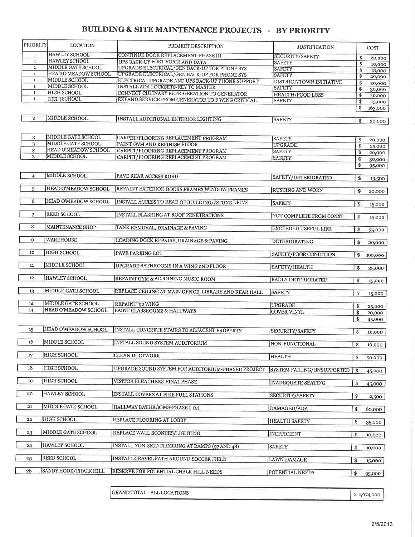# **BUILDING & SITE MAINTENANCE PROJECTS - BY PRIORITY**

| <b>HAWLEY SCHOOL</b><br>CONTINUE DOOR REPLACEMENT-PHASE III<br>1<br>SECURITY/SAFETY<br>\$<br>20,000<br><b>HAWLEY SCHOOL</b><br>$\mathbf 1$<br>UPS BACK-UP FORT VOICE AND DATA<br><b>SAFETY</b><br>\$<br>10,000<br>MIDDLE GATE SCHOOL<br>$\mathbf 1$<br>UPGRADE ELECTRICAL/GEN BACK-UP FOR PHONE SYS<br><b>SAFETY</b><br>\$<br>18,000<br>HEAD O'MEADOW SCHOOL<br>$\mathbf{1}$<br>UPGRADE ELECTRICAL/GEN BACK-UP FOR PHONE SYS<br><b>SAFETY</b><br>\$<br>20,000<br><b>MIDDLE SCHOOL</b><br>${\bf 1}$<br>ELECTRICAL UPGRADE AND UPS BACK-UP PHONE SUPPORT<br>DISTRICT/TOWN INITIATIVE<br>\$<br>20,000<br>MIDDLE SCHOOL<br>$\mathbf 1$<br>INSTALL ADA LOCKSETS-KEY TO MASTER<br><b>SAFETY</b><br>\$<br><b>HIGH SCHOOL</b><br>$\mathbf{1}$<br>CONNECT CULINARY REFRIGERATION TO GENERATOR<br><b>HEALTH/FOOD LOSS</b><br>\$<br><b>HIGH SCHOOL</b><br>$\mathbf{1}$<br>EXPAND SERVICE FROM GENERATOR TO F WING CRITICAL<br><b>SAFETY</b><br>\$<br>\$<br>MIDDLE SCHOOL<br>$\overline{\mathbf{2}}$<br>INSTALL ADDITIONAL EXTERIOR LIGHTING<br><b>SAFETY</b><br>\$<br><b>MIDDLE GATE SCHOOL</b><br>3<br>CARPET/FLOORING REPLACEMENT PROGRAM<br><b>SAFETY</b><br>\$<br>MIDDLE GATE SCHOOL<br>3<br>PAINT GYM AND REFINISH FLOOR<br><b>UPGRADE</b><br>\$<br>HEAD O'MEADOW SCHOOL<br>3<br>CARPET/FLOORING REPLACEMENT PROGRAM<br><b>SAFETY</b><br>\$<br>MIDDLE SCHOOL<br>3<br>CARPET/FLOORING REPLACEMENT PROGRAM<br><b>SAFETY</b><br>\$<br>\$<br>95,000<br>MIDDLE SCHOOL<br>4<br>PAVE REAR ACCESS ROAD<br>SAFETY/DETERIORATED<br>\$<br>13,500<br>HEAD O'MEADOW SCHOOL<br>5<br>REPAINT EXTERIOR DOORS, FRAMES, WINDOW FRAMES<br><b>RUSTING AND WORN</b><br>\$<br>20,000<br>6<br>HEAD O'MEADOW SCHOOL<br>INSTALL ACCESS TO REAR OF BUILDING//STONE DRIVE<br><b>SAFETY</b><br>\$<br>15,000<br><b>REED SCHOOL</b><br>7<br><b>INSTALL FLASHING AT ROOF PENETRATIONS</b><br>NOT COMPLETE FROM CONST<br>\$<br>15,000<br>8<br>MAINTENANCE SHOP<br>TANK REMOVAL, DRAINAGE & PAVING<br><b>EXCEEDED USEFUL LIFE</b><br>\$<br><b>WAREHOUSE</b><br>9<br>LOADING DOCK REPAIRS, DRAINAGE & PAVING<br>DETERIORATING<br>\$<br><b>HIGH SCHOOL</b><br>10 <sub>1</sub><br>PAVE PARKING LOT<br>SAFETY/POOR CONDITION<br>\$<br>MIDDLE SCHOOL<br>11<br>UPGRADE BATHROOMS IN A WING 2ND FLOOR<br>SAFETY/HEALTH<br>\$<br>HAWLEY SCHOOL<br>12<br>REPAINT GYM & ADJOINING MUSIC ROOM<br><b>BADLY DETERIORATED</b><br>\$<br>MIDDLE GATE SCHOOL<br>13<br>REPLACE CEILING AT MAIN OFFICE, LIBRARY AND REAR HALL<br><b>SAFETY</b><br>\$<br>15,000<br>MIDDLE GATE SCHOOL<br>REPAINT '92 WING<br>14<br><b>UPGRADE</b><br>\$<br>25,000<br>14<br>HEAD O'MEADOW SCHOOL<br>PAINT CLASSROOMS & HALLWAYS<br><b>COVER VINYL</b><br>\$<br>20,000<br>\$<br>HEAD O'MEADOW SCHOOL<br>15<br>INSTALL CONCRETE STAIRS TO ADJACENT PROPERTY<br>SECURITY/SAFETY<br>\$<br>16<br>MIDDLE SCHOOL<br>INSTALL SOUND SYSTEM AUDITORIUM<br>NON-FUNCTIONAL<br>$\pmb{\$}$<br><b>HIGH SCHOOL</b><br>17<br><b>CLEAN DUCTWORK</b><br><b>HEALTH</b><br>\$<br>50,000<br>HIGH SCHOOL<br>18<br>UPGRADE SOUND SYSTEM FOR AUDITORIUM-PHASED PROJECT<br>SYSTEM FAILING/UNSUPPORTED<br>\$<br>45,000<br><b>HIGH SCHOOL</b><br>19<br>VISITOR BLEACHERS-FINAL PHASE<br><b>INADEQUATE SEATING</b><br>\$<br>45,000<br>HAWLEY SCHOOL<br>20<br>INSTALL COVERS AT FIRE PULL STATIONS<br>SECURITY/SAFETY<br>\$<br>2,500<br>MIDDLE GATE SCHOOL<br>21<br>HALLWAY BATHROOMS-PHASE I (2)<br>DAMAGED/ADA<br>\$<br>60,000<br>HIGH SCHOOL<br>REPLACE FLOORING AT LOBBY<br>22<br><b>HEALTH SAFETY</b><br>\$<br><b>MIDDLE GATE SCHOOL</b><br>23<br>REPLACE WALL SCONCES/LIGHTING<br><b>INEFFICIENT</b><br>\$<br>HAWLEY SCHOOL<br>24<br>INSTALL NON-SKID FLOORING AT RAMPS (97 AND 48)<br>SAFETY<br>\$<br>10,000<br>REED SCHOOL<br>25<br>INSTALL GRAVEL PATH AROUND SOCCER FIELD<br><b>LAWN DAMAGE</b><br>\$<br>15,000 | <b>PRIORITY</b> | <b>LOCATION</b>       | PROJECT DESCRIPTION                    | <b>JUSTIFICATION</b> | COST    |
|-----------------------------------------------------------------------------------------------------------------------------------------------------------------------------------------------------------------------------------------------------------------------------------------------------------------------------------------------------------------------------------------------------------------------------------------------------------------------------------------------------------------------------------------------------------------------------------------------------------------------------------------------------------------------------------------------------------------------------------------------------------------------------------------------------------------------------------------------------------------------------------------------------------------------------------------------------------------------------------------------------------------------------------------------------------------------------------------------------------------------------------------------------------------------------------------------------------------------------------------------------------------------------------------------------------------------------------------------------------------------------------------------------------------------------------------------------------------------------------------------------------------------------------------------------------------------------------------------------------------------------------------------------------------------------------------------------------------------------------------------------------------------------------------------------------------------------------------------------------------------------------------------------------------------------------------------------------------------------------------------------------------------------------------------------------------------------------------------------------------------------------------------------------------------------------------------------------------------------------------------------------------------------------------------------------------------------------------------------------------------------------------------------------------------------------------------------------------------------------------------------------------------------------------------------------------------------------------------------------------------------------------------------------------------------------------------------------------------------------------------------------------------------------------------------------------------------------------------------------------------------------------------------------------------------------------------------------------------------------------------------------------------------------------------------------------------------------------------------------------------------------------------------------------------------------------------------------------------------------------------------------------------------------------------------------------------------------------------------------------------------------------------------------------------------------------------------------------------------------------------------------------------------------------------------------------------------------------------------------------------------------------------------------------------------------------------------------------------------------------------------------------------------------------------------------------|-----------------|-----------------------|----------------------------------------|----------------------|---------|
|                                                                                                                                                                                                                                                                                                                                                                                                                                                                                                                                                                                                                                                                                                                                                                                                                                                                                                                                                                                                                                                                                                                                                                                                                                                                                                                                                                                                                                                                                                                                                                                                                                                                                                                                                                                                                                                                                                                                                                                                                                                                                                                                                                                                                                                                                                                                                                                                                                                                                                                                                                                                                                                                                                                                                                                                                                                                                                                                                                                                                                                                                                                                                                                                                                                                                                                                                                                                                                                                                                                                                                                                                                                                                                                                                                                                                 |                 |                       |                                        |                      |         |
|                                                                                                                                                                                                                                                                                                                                                                                                                                                                                                                                                                                                                                                                                                                                                                                                                                                                                                                                                                                                                                                                                                                                                                                                                                                                                                                                                                                                                                                                                                                                                                                                                                                                                                                                                                                                                                                                                                                                                                                                                                                                                                                                                                                                                                                                                                                                                                                                                                                                                                                                                                                                                                                                                                                                                                                                                                                                                                                                                                                                                                                                                                                                                                                                                                                                                                                                                                                                                                                                                                                                                                                                                                                                                                                                                                                                                 |                 |                       |                                        |                      |         |
|                                                                                                                                                                                                                                                                                                                                                                                                                                                                                                                                                                                                                                                                                                                                                                                                                                                                                                                                                                                                                                                                                                                                                                                                                                                                                                                                                                                                                                                                                                                                                                                                                                                                                                                                                                                                                                                                                                                                                                                                                                                                                                                                                                                                                                                                                                                                                                                                                                                                                                                                                                                                                                                                                                                                                                                                                                                                                                                                                                                                                                                                                                                                                                                                                                                                                                                                                                                                                                                                                                                                                                                                                                                                                                                                                                                                                 |                 |                       |                                        |                      |         |
|                                                                                                                                                                                                                                                                                                                                                                                                                                                                                                                                                                                                                                                                                                                                                                                                                                                                                                                                                                                                                                                                                                                                                                                                                                                                                                                                                                                                                                                                                                                                                                                                                                                                                                                                                                                                                                                                                                                                                                                                                                                                                                                                                                                                                                                                                                                                                                                                                                                                                                                                                                                                                                                                                                                                                                                                                                                                                                                                                                                                                                                                                                                                                                                                                                                                                                                                                                                                                                                                                                                                                                                                                                                                                                                                                                                                                 |                 |                       |                                        |                      |         |
|                                                                                                                                                                                                                                                                                                                                                                                                                                                                                                                                                                                                                                                                                                                                                                                                                                                                                                                                                                                                                                                                                                                                                                                                                                                                                                                                                                                                                                                                                                                                                                                                                                                                                                                                                                                                                                                                                                                                                                                                                                                                                                                                                                                                                                                                                                                                                                                                                                                                                                                                                                                                                                                                                                                                                                                                                                                                                                                                                                                                                                                                                                                                                                                                                                                                                                                                                                                                                                                                                                                                                                                                                                                                                                                                                                                                                 |                 |                       |                                        |                      |         |
|                                                                                                                                                                                                                                                                                                                                                                                                                                                                                                                                                                                                                                                                                                                                                                                                                                                                                                                                                                                                                                                                                                                                                                                                                                                                                                                                                                                                                                                                                                                                                                                                                                                                                                                                                                                                                                                                                                                                                                                                                                                                                                                                                                                                                                                                                                                                                                                                                                                                                                                                                                                                                                                                                                                                                                                                                                                                                                                                                                                                                                                                                                                                                                                                                                                                                                                                                                                                                                                                                                                                                                                                                                                                                                                                                                                                                 |                 |                       |                                        |                      |         |
|                                                                                                                                                                                                                                                                                                                                                                                                                                                                                                                                                                                                                                                                                                                                                                                                                                                                                                                                                                                                                                                                                                                                                                                                                                                                                                                                                                                                                                                                                                                                                                                                                                                                                                                                                                                                                                                                                                                                                                                                                                                                                                                                                                                                                                                                                                                                                                                                                                                                                                                                                                                                                                                                                                                                                                                                                                                                                                                                                                                                                                                                                                                                                                                                                                                                                                                                                                                                                                                                                                                                                                                                                                                                                                                                                                                                                 |                 |                       |                                        |                      | 30,000  |
|                                                                                                                                                                                                                                                                                                                                                                                                                                                                                                                                                                                                                                                                                                                                                                                                                                                                                                                                                                                                                                                                                                                                                                                                                                                                                                                                                                                                                                                                                                                                                                                                                                                                                                                                                                                                                                                                                                                                                                                                                                                                                                                                                                                                                                                                                                                                                                                                                                                                                                                                                                                                                                                                                                                                                                                                                                                                                                                                                                                                                                                                                                                                                                                                                                                                                                                                                                                                                                                                                                                                                                                                                                                                                                                                                                                                                 |                 |                       |                                        |                      | 30,000  |
|                                                                                                                                                                                                                                                                                                                                                                                                                                                                                                                                                                                                                                                                                                                                                                                                                                                                                                                                                                                                                                                                                                                                                                                                                                                                                                                                                                                                                                                                                                                                                                                                                                                                                                                                                                                                                                                                                                                                                                                                                                                                                                                                                                                                                                                                                                                                                                                                                                                                                                                                                                                                                                                                                                                                                                                                                                                                                                                                                                                                                                                                                                                                                                                                                                                                                                                                                                                                                                                                                                                                                                                                                                                                                                                                                                                                                 |                 |                       |                                        |                      | 15,000  |
|                                                                                                                                                                                                                                                                                                                                                                                                                                                                                                                                                                                                                                                                                                                                                                                                                                                                                                                                                                                                                                                                                                                                                                                                                                                                                                                                                                                                                                                                                                                                                                                                                                                                                                                                                                                                                                                                                                                                                                                                                                                                                                                                                                                                                                                                                                                                                                                                                                                                                                                                                                                                                                                                                                                                                                                                                                                                                                                                                                                                                                                                                                                                                                                                                                                                                                                                                                                                                                                                                                                                                                                                                                                                                                                                                                                                                 |                 |                       |                                        |                      | 163,000 |
|                                                                                                                                                                                                                                                                                                                                                                                                                                                                                                                                                                                                                                                                                                                                                                                                                                                                                                                                                                                                                                                                                                                                                                                                                                                                                                                                                                                                                                                                                                                                                                                                                                                                                                                                                                                                                                                                                                                                                                                                                                                                                                                                                                                                                                                                                                                                                                                                                                                                                                                                                                                                                                                                                                                                                                                                                                                                                                                                                                                                                                                                                                                                                                                                                                                                                                                                                                                                                                                                                                                                                                                                                                                                                                                                                                                                                 |                 |                       |                                        |                      |         |
|                                                                                                                                                                                                                                                                                                                                                                                                                                                                                                                                                                                                                                                                                                                                                                                                                                                                                                                                                                                                                                                                                                                                                                                                                                                                                                                                                                                                                                                                                                                                                                                                                                                                                                                                                                                                                                                                                                                                                                                                                                                                                                                                                                                                                                                                                                                                                                                                                                                                                                                                                                                                                                                                                                                                                                                                                                                                                                                                                                                                                                                                                                                                                                                                                                                                                                                                                                                                                                                                                                                                                                                                                                                                                                                                                                                                                 |                 |                       |                                        |                      | 20,000  |
|                                                                                                                                                                                                                                                                                                                                                                                                                                                                                                                                                                                                                                                                                                                                                                                                                                                                                                                                                                                                                                                                                                                                                                                                                                                                                                                                                                                                                                                                                                                                                                                                                                                                                                                                                                                                                                                                                                                                                                                                                                                                                                                                                                                                                                                                                                                                                                                                                                                                                                                                                                                                                                                                                                                                                                                                                                                                                                                                                                                                                                                                                                                                                                                                                                                                                                                                                                                                                                                                                                                                                                                                                                                                                                                                                                                                                 |                 |                       |                                        |                      |         |
|                                                                                                                                                                                                                                                                                                                                                                                                                                                                                                                                                                                                                                                                                                                                                                                                                                                                                                                                                                                                                                                                                                                                                                                                                                                                                                                                                                                                                                                                                                                                                                                                                                                                                                                                                                                                                                                                                                                                                                                                                                                                                                                                                                                                                                                                                                                                                                                                                                                                                                                                                                                                                                                                                                                                                                                                                                                                                                                                                                                                                                                                                                                                                                                                                                                                                                                                                                                                                                                                                                                                                                                                                                                                                                                                                                                                                 |                 |                       |                                        |                      |         |
|                                                                                                                                                                                                                                                                                                                                                                                                                                                                                                                                                                                                                                                                                                                                                                                                                                                                                                                                                                                                                                                                                                                                                                                                                                                                                                                                                                                                                                                                                                                                                                                                                                                                                                                                                                                                                                                                                                                                                                                                                                                                                                                                                                                                                                                                                                                                                                                                                                                                                                                                                                                                                                                                                                                                                                                                                                                                                                                                                                                                                                                                                                                                                                                                                                                                                                                                                                                                                                                                                                                                                                                                                                                                                                                                                                                                                 |                 |                       |                                        |                      | 20,000  |
|                                                                                                                                                                                                                                                                                                                                                                                                                                                                                                                                                                                                                                                                                                                                                                                                                                                                                                                                                                                                                                                                                                                                                                                                                                                                                                                                                                                                                                                                                                                                                                                                                                                                                                                                                                                                                                                                                                                                                                                                                                                                                                                                                                                                                                                                                                                                                                                                                                                                                                                                                                                                                                                                                                                                                                                                                                                                                                                                                                                                                                                                                                                                                                                                                                                                                                                                                                                                                                                                                                                                                                                                                                                                                                                                                                                                                 |                 |                       |                                        |                      | 25,000  |
|                                                                                                                                                                                                                                                                                                                                                                                                                                                                                                                                                                                                                                                                                                                                                                                                                                                                                                                                                                                                                                                                                                                                                                                                                                                                                                                                                                                                                                                                                                                                                                                                                                                                                                                                                                                                                                                                                                                                                                                                                                                                                                                                                                                                                                                                                                                                                                                                                                                                                                                                                                                                                                                                                                                                                                                                                                                                                                                                                                                                                                                                                                                                                                                                                                                                                                                                                                                                                                                                                                                                                                                                                                                                                                                                                                                                                 |                 |                       |                                        |                      | 20,000  |
|                                                                                                                                                                                                                                                                                                                                                                                                                                                                                                                                                                                                                                                                                                                                                                                                                                                                                                                                                                                                                                                                                                                                                                                                                                                                                                                                                                                                                                                                                                                                                                                                                                                                                                                                                                                                                                                                                                                                                                                                                                                                                                                                                                                                                                                                                                                                                                                                                                                                                                                                                                                                                                                                                                                                                                                                                                                                                                                                                                                                                                                                                                                                                                                                                                                                                                                                                                                                                                                                                                                                                                                                                                                                                                                                                                                                                 |                 |                       |                                        |                      | 30,000  |
|                                                                                                                                                                                                                                                                                                                                                                                                                                                                                                                                                                                                                                                                                                                                                                                                                                                                                                                                                                                                                                                                                                                                                                                                                                                                                                                                                                                                                                                                                                                                                                                                                                                                                                                                                                                                                                                                                                                                                                                                                                                                                                                                                                                                                                                                                                                                                                                                                                                                                                                                                                                                                                                                                                                                                                                                                                                                                                                                                                                                                                                                                                                                                                                                                                                                                                                                                                                                                                                                                                                                                                                                                                                                                                                                                                                                                 |                 |                       |                                        |                      |         |
|                                                                                                                                                                                                                                                                                                                                                                                                                                                                                                                                                                                                                                                                                                                                                                                                                                                                                                                                                                                                                                                                                                                                                                                                                                                                                                                                                                                                                                                                                                                                                                                                                                                                                                                                                                                                                                                                                                                                                                                                                                                                                                                                                                                                                                                                                                                                                                                                                                                                                                                                                                                                                                                                                                                                                                                                                                                                                                                                                                                                                                                                                                                                                                                                                                                                                                                                                                                                                                                                                                                                                                                                                                                                                                                                                                                                                 |                 |                       |                                        |                      |         |
|                                                                                                                                                                                                                                                                                                                                                                                                                                                                                                                                                                                                                                                                                                                                                                                                                                                                                                                                                                                                                                                                                                                                                                                                                                                                                                                                                                                                                                                                                                                                                                                                                                                                                                                                                                                                                                                                                                                                                                                                                                                                                                                                                                                                                                                                                                                                                                                                                                                                                                                                                                                                                                                                                                                                                                                                                                                                                                                                                                                                                                                                                                                                                                                                                                                                                                                                                                                                                                                                                                                                                                                                                                                                                                                                                                                                                 |                 |                       |                                        |                      |         |
|                                                                                                                                                                                                                                                                                                                                                                                                                                                                                                                                                                                                                                                                                                                                                                                                                                                                                                                                                                                                                                                                                                                                                                                                                                                                                                                                                                                                                                                                                                                                                                                                                                                                                                                                                                                                                                                                                                                                                                                                                                                                                                                                                                                                                                                                                                                                                                                                                                                                                                                                                                                                                                                                                                                                                                                                                                                                                                                                                                                                                                                                                                                                                                                                                                                                                                                                                                                                                                                                                                                                                                                                                                                                                                                                                                                                                 |                 |                       |                                        |                      |         |
|                                                                                                                                                                                                                                                                                                                                                                                                                                                                                                                                                                                                                                                                                                                                                                                                                                                                                                                                                                                                                                                                                                                                                                                                                                                                                                                                                                                                                                                                                                                                                                                                                                                                                                                                                                                                                                                                                                                                                                                                                                                                                                                                                                                                                                                                                                                                                                                                                                                                                                                                                                                                                                                                                                                                                                                                                                                                                                                                                                                                                                                                                                                                                                                                                                                                                                                                                                                                                                                                                                                                                                                                                                                                                                                                                                                                                 |                 |                       |                                        |                      |         |
|                                                                                                                                                                                                                                                                                                                                                                                                                                                                                                                                                                                                                                                                                                                                                                                                                                                                                                                                                                                                                                                                                                                                                                                                                                                                                                                                                                                                                                                                                                                                                                                                                                                                                                                                                                                                                                                                                                                                                                                                                                                                                                                                                                                                                                                                                                                                                                                                                                                                                                                                                                                                                                                                                                                                                                                                                                                                                                                                                                                                                                                                                                                                                                                                                                                                                                                                                                                                                                                                                                                                                                                                                                                                                                                                                                                                                 |                 |                       |                                        |                      |         |
|                                                                                                                                                                                                                                                                                                                                                                                                                                                                                                                                                                                                                                                                                                                                                                                                                                                                                                                                                                                                                                                                                                                                                                                                                                                                                                                                                                                                                                                                                                                                                                                                                                                                                                                                                                                                                                                                                                                                                                                                                                                                                                                                                                                                                                                                                                                                                                                                                                                                                                                                                                                                                                                                                                                                                                                                                                                                                                                                                                                                                                                                                                                                                                                                                                                                                                                                                                                                                                                                                                                                                                                                                                                                                                                                                                                                                 |                 |                       |                                        |                      |         |
|                                                                                                                                                                                                                                                                                                                                                                                                                                                                                                                                                                                                                                                                                                                                                                                                                                                                                                                                                                                                                                                                                                                                                                                                                                                                                                                                                                                                                                                                                                                                                                                                                                                                                                                                                                                                                                                                                                                                                                                                                                                                                                                                                                                                                                                                                                                                                                                                                                                                                                                                                                                                                                                                                                                                                                                                                                                                                                                                                                                                                                                                                                                                                                                                                                                                                                                                                                                                                                                                                                                                                                                                                                                                                                                                                                                                                 |                 |                       |                                        |                      |         |
|                                                                                                                                                                                                                                                                                                                                                                                                                                                                                                                                                                                                                                                                                                                                                                                                                                                                                                                                                                                                                                                                                                                                                                                                                                                                                                                                                                                                                                                                                                                                                                                                                                                                                                                                                                                                                                                                                                                                                                                                                                                                                                                                                                                                                                                                                                                                                                                                                                                                                                                                                                                                                                                                                                                                                                                                                                                                                                                                                                                                                                                                                                                                                                                                                                                                                                                                                                                                                                                                                                                                                                                                                                                                                                                                                                                                                 |                 |                       |                                        |                      |         |
|                                                                                                                                                                                                                                                                                                                                                                                                                                                                                                                                                                                                                                                                                                                                                                                                                                                                                                                                                                                                                                                                                                                                                                                                                                                                                                                                                                                                                                                                                                                                                                                                                                                                                                                                                                                                                                                                                                                                                                                                                                                                                                                                                                                                                                                                                                                                                                                                                                                                                                                                                                                                                                                                                                                                                                                                                                                                                                                                                                                                                                                                                                                                                                                                                                                                                                                                                                                                                                                                                                                                                                                                                                                                                                                                                                                                                 |                 |                       |                                        |                      |         |
|                                                                                                                                                                                                                                                                                                                                                                                                                                                                                                                                                                                                                                                                                                                                                                                                                                                                                                                                                                                                                                                                                                                                                                                                                                                                                                                                                                                                                                                                                                                                                                                                                                                                                                                                                                                                                                                                                                                                                                                                                                                                                                                                                                                                                                                                                                                                                                                                                                                                                                                                                                                                                                                                                                                                                                                                                                                                                                                                                                                                                                                                                                                                                                                                                                                                                                                                                                                                                                                                                                                                                                                                                                                                                                                                                                                                                 |                 |                       |                                        |                      |         |
|                                                                                                                                                                                                                                                                                                                                                                                                                                                                                                                                                                                                                                                                                                                                                                                                                                                                                                                                                                                                                                                                                                                                                                                                                                                                                                                                                                                                                                                                                                                                                                                                                                                                                                                                                                                                                                                                                                                                                                                                                                                                                                                                                                                                                                                                                                                                                                                                                                                                                                                                                                                                                                                                                                                                                                                                                                                                                                                                                                                                                                                                                                                                                                                                                                                                                                                                                                                                                                                                                                                                                                                                                                                                                                                                                                                                                 |                 |                       |                                        |                      | 35,000  |
|                                                                                                                                                                                                                                                                                                                                                                                                                                                                                                                                                                                                                                                                                                                                                                                                                                                                                                                                                                                                                                                                                                                                                                                                                                                                                                                                                                                                                                                                                                                                                                                                                                                                                                                                                                                                                                                                                                                                                                                                                                                                                                                                                                                                                                                                                                                                                                                                                                                                                                                                                                                                                                                                                                                                                                                                                                                                                                                                                                                                                                                                                                                                                                                                                                                                                                                                                                                                                                                                                                                                                                                                                                                                                                                                                                                                                 |                 |                       |                                        |                      |         |
|                                                                                                                                                                                                                                                                                                                                                                                                                                                                                                                                                                                                                                                                                                                                                                                                                                                                                                                                                                                                                                                                                                                                                                                                                                                                                                                                                                                                                                                                                                                                                                                                                                                                                                                                                                                                                                                                                                                                                                                                                                                                                                                                                                                                                                                                                                                                                                                                                                                                                                                                                                                                                                                                                                                                                                                                                                                                                                                                                                                                                                                                                                                                                                                                                                                                                                                                                                                                                                                                                                                                                                                                                                                                                                                                                                                                                 |                 |                       |                                        |                      | 20,000  |
|                                                                                                                                                                                                                                                                                                                                                                                                                                                                                                                                                                                                                                                                                                                                                                                                                                                                                                                                                                                                                                                                                                                                                                                                                                                                                                                                                                                                                                                                                                                                                                                                                                                                                                                                                                                                                                                                                                                                                                                                                                                                                                                                                                                                                                                                                                                                                                                                                                                                                                                                                                                                                                                                                                                                                                                                                                                                                                                                                                                                                                                                                                                                                                                                                                                                                                                                                                                                                                                                                                                                                                                                                                                                                                                                                                                                                 |                 |                       |                                        |                      |         |
|                                                                                                                                                                                                                                                                                                                                                                                                                                                                                                                                                                                                                                                                                                                                                                                                                                                                                                                                                                                                                                                                                                                                                                                                                                                                                                                                                                                                                                                                                                                                                                                                                                                                                                                                                                                                                                                                                                                                                                                                                                                                                                                                                                                                                                                                                                                                                                                                                                                                                                                                                                                                                                                                                                                                                                                                                                                                                                                                                                                                                                                                                                                                                                                                                                                                                                                                                                                                                                                                                                                                                                                                                                                                                                                                                                                                                 |                 |                       |                                        |                      | 190,000 |
|                                                                                                                                                                                                                                                                                                                                                                                                                                                                                                                                                                                                                                                                                                                                                                                                                                                                                                                                                                                                                                                                                                                                                                                                                                                                                                                                                                                                                                                                                                                                                                                                                                                                                                                                                                                                                                                                                                                                                                                                                                                                                                                                                                                                                                                                                                                                                                                                                                                                                                                                                                                                                                                                                                                                                                                                                                                                                                                                                                                                                                                                                                                                                                                                                                                                                                                                                                                                                                                                                                                                                                                                                                                                                                                                                                                                                 |                 |                       |                                        |                      |         |
|                                                                                                                                                                                                                                                                                                                                                                                                                                                                                                                                                                                                                                                                                                                                                                                                                                                                                                                                                                                                                                                                                                                                                                                                                                                                                                                                                                                                                                                                                                                                                                                                                                                                                                                                                                                                                                                                                                                                                                                                                                                                                                                                                                                                                                                                                                                                                                                                                                                                                                                                                                                                                                                                                                                                                                                                                                                                                                                                                                                                                                                                                                                                                                                                                                                                                                                                                                                                                                                                                                                                                                                                                                                                                                                                                                                                                 |                 |                       |                                        |                      | 25,000  |
|                                                                                                                                                                                                                                                                                                                                                                                                                                                                                                                                                                                                                                                                                                                                                                                                                                                                                                                                                                                                                                                                                                                                                                                                                                                                                                                                                                                                                                                                                                                                                                                                                                                                                                                                                                                                                                                                                                                                                                                                                                                                                                                                                                                                                                                                                                                                                                                                                                                                                                                                                                                                                                                                                                                                                                                                                                                                                                                                                                                                                                                                                                                                                                                                                                                                                                                                                                                                                                                                                                                                                                                                                                                                                                                                                                                                                 |                 |                       |                                        |                      |         |
|                                                                                                                                                                                                                                                                                                                                                                                                                                                                                                                                                                                                                                                                                                                                                                                                                                                                                                                                                                                                                                                                                                                                                                                                                                                                                                                                                                                                                                                                                                                                                                                                                                                                                                                                                                                                                                                                                                                                                                                                                                                                                                                                                                                                                                                                                                                                                                                                                                                                                                                                                                                                                                                                                                                                                                                                                                                                                                                                                                                                                                                                                                                                                                                                                                                                                                                                                                                                                                                                                                                                                                                                                                                                                                                                                                                                                 |                 |                       |                                        |                      | 15,000  |
|                                                                                                                                                                                                                                                                                                                                                                                                                                                                                                                                                                                                                                                                                                                                                                                                                                                                                                                                                                                                                                                                                                                                                                                                                                                                                                                                                                                                                                                                                                                                                                                                                                                                                                                                                                                                                                                                                                                                                                                                                                                                                                                                                                                                                                                                                                                                                                                                                                                                                                                                                                                                                                                                                                                                                                                                                                                                                                                                                                                                                                                                                                                                                                                                                                                                                                                                                                                                                                                                                                                                                                                                                                                                                                                                                                                                                 |                 |                       |                                        |                      |         |
|                                                                                                                                                                                                                                                                                                                                                                                                                                                                                                                                                                                                                                                                                                                                                                                                                                                                                                                                                                                                                                                                                                                                                                                                                                                                                                                                                                                                                                                                                                                                                                                                                                                                                                                                                                                                                                                                                                                                                                                                                                                                                                                                                                                                                                                                                                                                                                                                                                                                                                                                                                                                                                                                                                                                                                                                                                                                                                                                                                                                                                                                                                                                                                                                                                                                                                                                                                                                                                                                                                                                                                                                                                                                                                                                                                                                                 |                 |                       |                                        |                      |         |
|                                                                                                                                                                                                                                                                                                                                                                                                                                                                                                                                                                                                                                                                                                                                                                                                                                                                                                                                                                                                                                                                                                                                                                                                                                                                                                                                                                                                                                                                                                                                                                                                                                                                                                                                                                                                                                                                                                                                                                                                                                                                                                                                                                                                                                                                                                                                                                                                                                                                                                                                                                                                                                                                                                                                                                                                                                                                                                                                                                                                                                                                                                                                                                                                                                                                                                                                                                                                                                                                                                                                                                                                                                                                                                                                                                                                                 |                 |                       |                                        |                      |         |
|                                                                                                                                                                                                                                                                                                                                                                                                                                                                                                                                                                                                                                                                                                                                                                                                                                                                                                                                                                                                                                                                                                                                                                                                                                                                                                                                                                                                                                                                                                                                                                                                                                                                                                                                                                                                                                                                                                                                                                                                                                                                                                                                                                                                                                                                                                                                                                                                                                                                                                                                                                                                                                                                                                                                                                                                                                                                                                                                                                                                                                                                                                                                                                                                                                                                                                                                                                                                                                                                                                                                                                                                                                                                                                                                                                                                                 |                 |                       |                                        |                      |         |
|                                                                                                                                                                                                                                                                                                                                                                                                                                                                                                                                                                                                                                                                                                                                                                                                                                                                                                                                                                                                                                                                                                                                                                                                                                                                                                                                                                                                                                                                                                                                                                                                                                                                                                                                                                                                                                                                                                                                                                                                                                                                                                                                                                                                                                                                                                                                                                                                                                                                                                                                                                                                                                                                                                                                                                                                                                                                                                                                                                                                                                                                                                                                                                                                                                                                                                                                                                                                                                                                                                                                                                                                                                                                                                                                                                                                                 |                 |                       |                                        |                      |         |
|                                                                                                                                                                                                                                                                                                                                                                                                                                                                                                                                                                                                                                                                                                                                                                                                                                                                                                                                                                                                                                                                                                                                                                                                                                                                                                                                                                                                                                                                                                                                                                                                                                                                                                                                                                                                                                                                                                                                                                                                                                                                                                                                                                                                                                                                                                                                                                                                                                                                                                                                                                                                                                                                                                                                                                                                                                                                                                                                                                                                                                                                                                                                                                                                                                                                                                                                                                                                                                                                                                                                                                                                                                                                                                                                                                                                                 |                 |                       |                                        |                      |         |
|                                                                                                                                                                                                                                                                                                                                                                                                                                                                                                                                                                                                                                                                                                                                                                                                                                                                                                                                                                                                                                                                                                                                                                                                                                                                                                                                                                                                                                                                                                                                                                                                                                                                                                                                                                                                                                                                                                                                                                                                                                                                                                                                                                                                                                                                                                                                                                                                                                                                                                                                                                                                                                                                                                                                                                                                                                                                                                                                                                                                                                                                                                                                                                                                                                                                                                                                                                                                                                                                                                                                                                                                                                                                                                                                                                                                                 |                 |                       |                                        |                      | 45,000  |
|                                                                                                                                                                                                                                                                                                                                                                                                                                                                                                                                                                                                                                                                                                                                                                                                                                                                                                                                                                                                                                                                                                                                                                                                                                                                                                                                                                                                                                                                                                                                                                                                                                                                                                                                                                                                                                                                                                                                                                                                                                                                                                                                                                                                                                                                                                                                                                                                                                                                                                                                                                                                                                                                                                                                                                                                                                                                                                                                                                                                                                                                                                                                                                                                                                                                                                                                                                                                                                                                                                                                                                                                                                                                                                                                                                                                                 |                 |                       |                                        |                      |         |
|                                                                                                                                                                                                                                                                                                                                                                                                                                                                                                                                                                                                                                                                                                                                                                                                                                                                                                                                                                                                                                                                                                                                                                                                                                                                                                                                                                                                                                                                                                                                                                                                                                                                                                                                                                                                                                                                                                                                                                                                                                                                                                                                                                                                                                                                                                                                                                                                                                                                                                                                                                                                                                                                                                                                                                                                                                                                                                                                                                                                                                                                                                                                                                                                                                                                                                                                                                                                                                                                                                                                                                                                                                                                                                                                                                                                                 |                 |                       |                                        |                      | 10,000  |
|                                                                                                                                                                                                                                                                                                                                                                                                                                                                                                                                                                                                                                                                                                                                                                                                                                                                                                                                                                                                                                                                                                                                                                                                                                                                                                                                                                                                                                                                                                                                                                                                                                                                                                                                                                                                                                                                                                                                                                                                                                                                                                                                                                                                                                                                                                                                                                                                                                                                                                                                                                                                                                                                                                                                                                                                                                                                                                                                                                                                                                                                                                                                                                                                                                                                                                                                                                                                                                                                                                                                                                                                                                                                                                                                                                                                                 |                 |                       |                                        |                      |         |
|                                                                                                                                                                                                                                                                                                                                                                                                                                                                                                                                                                                                                                                                                                                                                                                                                                                                                                                                                                                                                                                                                                                                                                                                                                                                                                                                                                                                                                                                                                                                                                                                                                                                                                                                                                                                                                                                                                                                                                                                                                                                                                                                                                                                                                                                                                                                                                                                                                                                                                                                                                                                                                                                                                                                                                                                                                                                                                                                                                                                                                                                                                                                                                                                                                                                                                                                                                                                                                                                                                                                                                                                                                                                                                                                                                                                                 |                 |                       |                                        |                      | 10,000  |
|                                                                                                                                                                                                                                                                                                                                                                                                                                                                                                                                                                                                                                                                                                                                                                                                                                                                                                                                                                                                                                                                                                                                                                                                                                                                                                                                                                                                                                                                                                                                                                                                                                                                                                                                                                                                                                                                                                                                                                                                                                                                                                                                                                                                                                                                                                                                                                                                                                                                                                                                                                                                                                                                                                                                                                                                                                                                                                                                                                                                                                                                                                                                                                                                                                                                                                                                                                                                                                                                                                                                                                                                                                                                                                                                                                                                                 |                 |                       |                                        |                      |         |
|                                                                                                                                                                                                                                                                                                                                                                                                                                                                                                                                                                                                                                                                                                                                                                                                                                                                                                                                                                                                                                                                                                                                                                                                                                                                                                                                                                                                                                                                                                                                                                                                                                                                                                                                                                                                                                                                                                                                                                                                                                                                                                                                                                                                                                                                                                                                                                                                                                                                                                                                                                                                                                                                                                                                                                                                                                                                                                                                                                                                                                                                                                                                                                                                                                                                                                                                                                                                                                                                                                                                                                                                                                                                                                                                                                                                                 |                 |                       |                                        |                      |         |
|                                                                                                                                                                                                                                                                                                                                                                                                                                                                                                                                                                                                                                                                                                                                                                                                                                                                                                                                                                                                                                                                                                                                                                                                                                                                                                                                                                                                                                                                                                                                                                                                                                                                                                                                                                                                                                                                                                                                                                                                                                                                                                                                                                                                                                                                                                                                                                                                                                                                                                                                                                                                                                                                                                                                                                                                                                                                                                                                                                                                                                                                                                                                                                                                                                                                                                                                                                                                                                                                                                                                                                                                                                                                                                                                                                                                                 |                 |                       |                                        |                      |         |
|                                                                                                                                                                                                                                                                                                                                                                                                                                                                                                                                                                                                                                                                                                                                                                                                                                                                                                                                                                                                                                                                                                                                                                                                                                                                                                                                                                                                                                                                                                                                                                                                                                                                                                                                                                                                                                                                                                                                                                                                                                                                                                                                                                                                                                                                                                                                                                                                                                                                                                                                                                                                                                                                                                                                                                                                                                                                                                                                                                                                                                                                                                                                                                                                                                                                                                                                                                                                                                                                                                                                                                                                                                                                                                                                                                                                                 |                 |                       |                                        |                      |         |
|                                                                                                                                                                                                                                                                                                                                                                                                                                                                                                                                                                                                                                                                                                                                                                                                                                                                                                                                                                                                                                                                                                                                                                                                                                                                                                                                                                                                                                                                                                                                                                                                                                                                                                                                                                                                                                                                                                                                                                                                                                                                                                                                                                                                                                                                                                                                                                                                                                                                                                                                                                                                                                                                                                                                                                                                                                                                                                                                                                                                                                                                                                                                                                                                                                                                                                                                                                                                                                                                                                                                                                                                                                                                                                                                                                                                                 |                 |                       |                                        |                      |         |
|                                                                                                                                                                                                                                                                                                                                                                                                                                                                                                                                                                                                                                                                                                                                                                                                                                                                                                                                                                                                                                                                                                                                                                                                                                                                                                                                                                                                                                                                                                                                                                                                                                                                                                                                                                                                                                                                                                                                                                                                                                                                                                                                                                                                                                                                                                                                                                                                                                                                                                                                                                                                                                                                                                                                                                                                                                                                                                                                                                                                                                                                                                                                                                                                                                                                                                                                                                                                                                                                                                                                                                                                                                                                                                                                                                                                                 |                 |                       |                                        |                      |         |
|                                                                                                                                                                                                                                                                                                                                                                                                                                                                                                                                                                                                                                                                                                                                                                                                                                                                                                                                                                                                                                                                                                                                                                                                                                                                                                                                                                                                                                                                                                                                                                                                                                                                                                                                                                                                                                                                                                                                                                                                                                                                                                                                                                                                                                                                                                                                                                                                                                                                                                                                                                                                                                                                                                                                                                                                                                                                                                                                                                                                                                                                                                                                                                                                                                                                                                                                                                                                                                                                                                                                                                                                                                                                                                                                                                                                                 |                 |                       |                                        |                      |         |
|                                                                                                                                                                                                                                                                                                                                                                                                                                                                                                                                                                                                                                                                                                                                                                                                                                                                                                                                                                                                                                                                                                                                                                                                                                                                                                                                                                                                                                                                                                                                                                                                                                                                                                                                                                                                                                                                                                                                                                                                                                                                                                                                                                                                                                                                                                                                                                                                                                                                                                                                                                                                                                                                                                                                                                                                                                                                                                                                                                                                                                                                                                                                                                                                                                                                                                                                                                                                                                                                                                                                                                                                                                                                                                                                                                                                                 |                 |                       |                                        |                      |         |
|                                                                                                                                                                                                                                                                                                                                                                                                                                                                                                                                                                                                                                                                                                                                                                                                                                                                                                                                                                                                                                                                                                                                                                                                                                                                                                                                                                                                                                                                                                                                                                                                                                                                                                                                                                                                                                                                                                                                                                                                                                                                                                                                                                                                                                                                                                                                                                                                                                                                                                                                                                                                                                                                                                                                                                                                                                                                                                                                                                                                                                                                                                                                                                                                                                                                                                                                                                                                                                                                                                                                                                                                                                                                                                                                                                                                                 |                 |                       |                                        |                      |         |
|                                                                                                                                                                                                                                                                                                                                                                                                                                                                                                                                                                                                                                                                                                                                                                                                                                                                                                                                                                                                                                                                                                                                                                                                                                                                                                                                                                                                                                                                                                                                                                                                                                                                                                                                                                                                                                                                                                                                                                                                                                                                                                                                                                                                                                                                                                                                                                                                                                                                                                                                                                                                                                                                                                                                                                                                                                                                                                                                                                                                                                                                                                                                                                                                                                                                                                                                                                                                                                                                                                                                                                                                                                                                                                                                                                                                                 |                 |                       |                                        |                      |         |
|                                                                                                                                                                                                                                                                                                                                                                                                                                                                                                                                                                                                                                                                                                                                                                                                                                                                                                                                                                                                                                                                                                                                                                                                                                                                                                                                                                                                                                                                                                                                                                                                                                                                                                                                                                                                                                                                                                                                                                                                                                                                                                                                                                                                                                                                                                                                                                                                                                                                                                                                                                                                                                                                                                                                                                                                                                                                                                                                                                                                                                                                                                                                                                                                                                                                                                                                                                                                                                                                                                                                                                                                                                                                                                                                                                                                                 |                 |                       |                                        |                      |         |
|                                                                                                                                                                                                                                                                                                                                                                                                                                                                                                                                                                                                                                                                                                                                                                                                                                                                                                                                                                                                                                                                                                                                                                                                                                                                                                                                                                                                                                                                                                                                                                                                                                                                                                                                                                                                                                                                                                                                                                                                                                                                                                                                                                                                                                                                                                                                                                                                                                                                                                                                                                                                                                                                                                                                                                                                                                                                                                                                                                                                                                                                                                                                                                                                                                                                                                                                                                                                                                                                                                                                                                                                                                                                                                                                                                                                                 |                 |                       |                                        |                      |         |
|                                                                                                                                                                                                                                                                                                                                                                                                                                                                                                                                                                                                                                                                                                                                                                                                                                                                                                                                                                                                                                                                                                                                                                                                                                                                                                                                                                                                                                                                                                                                                                                                                                                                                                                                                                                                                                                                                                                                                                                                                                                                                                                                                                                                                                                                                                                                                                                                                                                                                                                                                                                                                                                                                                                                                                                                                                                                                                                                                                                                                                                                                                                                                                                                                                                                                                                                                                                                                                                                                                                                                                                                                                                                                                                                                                                                                 |                 |                       |                                        |                      | 35,000  |
|                                                                                                                                                                                                                                                                                                                                                                                                                                                                                                                                                                                                                                                                                                                                                                                                                                                                                                                                                                                                                                                                                                                                                                                                                                                                                                                                                                                                                                                                                                                                                                                                                                                                                                                                                                                                                                                                                                                                                                                                                                                                                                                                                                                                                                                                                                                                                                                                                                                                                                                                                                                                                                                                                                                                                                                                                                                                                                                                                                                                                                                                                                                                                                                                                                                                                                                                                                                                                                                                                                                                                                                                                                                                                                                                                                                                                 |                 |                       |                                        |                      |         |
|                                                                                                                                                                                                                                                                                                                                                                                                                                                                                                                                                                                                                                                                                                                                                                                                                                                                                                                                                                                                                                                                                                                                                                                                                                                                                                                                                                                                                                                                                                                                                                                                                                                                                                                                                                                                                                                                                                                                                                                                                                                                                                                                                                                                                                                                                                                                                                                                                                                                                                                                                                                                                                                                                                                                                                                                                                                                                                                                                                                                                                                                                                                                                                                                                                                                                                                                                                                                                                                                                                                                                                                                                                                                                                                                                                                                                 |                 |                       |                                        |                      | 10,000  |
|                                                                                                                                                                                                                                                                                                                                                                                                                                                                                                                                                                                                                                                                                                                                                                                                                                                                                                                                                                                                                                                                                                                                                                                                                                                                                                                                                                                                                                                                                                                                                                                                                                                                                                                                                                                                                                                                                                                                                                                                                                                                                                                                                                                                                                                                                                                                                                                                                                                                                                                                                                                                                                                                                                                                                                                                                                                                                                                                                                                                                                                                                                                                                                                                                                                                                                                                                                                                                                                                                                                                                                                                                                                                                                                                                                                                                 |                 |                       |                                        |                      |         |
|                                                                                                                                                                                                                                                                                                                                                                                                                                                                                                                                                                                                                                                                                                                                                                                                                                                                                                                                                                                                                                                                                                                                                                                                                                                                                                                                                                                                                                                                                                                                                                                                                                                                                                                                                                                                                                                                                                                                                                                                                                                                                                                                                                                                                                                                                                                                                                                                                                                                                                                                                                                                                                                                                                                                                                                                                                                                                                                                                                                                                                                                                                                                                                                                                                                                                                                                                                                                                                                                                                                                                                                                                                                                                                                                                                                                                 |                 |                       |                                        |                      |         |
|                                                                                                                                                                                                                                                                                                                                                                                                                                                                                                                                                                                                                                                                                                                                                                                                                                                                                                                                                                                                                                                                                                                                                                                                                                                                                                                                                                                                                                                                                                                                                                                                                                                                                                                                                                                                                                                                                                                                                                                                                                                                                                                                                                                                                                                                                                                                                                                                                                                                                                                                                                                                                                                                                                                                                                                                                                                                                                                                                                                                                                                                                                                                                                                                                                                                                                                                                                                                                                                                                                                                                                                                                                                                                                                                                                                                                 |                 |                       |                                        |                      |         |
|                                                                                                                                                                                                                                                                                                                                                                                                                                                                                                                                                                                                                                                                                                                                                                                                                                                                                                                                                                                                                                                                                                                                                                                                                                                                                                                                                                                                                                                                                                                                                                                                                                                                                                                                                                                                                                                                                                                                                                                                                                                                                                                                                                                                                                                                                                                                                                                                                                                                                                                                                                                                                                                                                                                                                                                                                                                                                                                                                                                                                                                                                                                                                                                                                                                                                                                                                                                                                                                                                                                                                                                                                                                                                                                                                                                                                 |                 |                       |                                        |                      |         |
|                                                                                                                                                                                                                                                                                                                                                                                                                                                                                                                                                                                                                                                                                                                                                                                                                                                                                                                                                                                                                                                                                                                                                                                                                                                                                                                                                                                                                                                                                                                                                                                                                                                                                                                                                                                                                                                                                                                                                                                                                                                                                                                                                                                                                                                                                                                                                                                                                                                                                                                                                                                                                                                                                                                                                                                                                                                                                                                                                                                                                                                                                                                                                                                                                                                                                                                                                                                                                                                                                                                                                                                                                                                                                                                                                                                                                 |                 |                       |                                        |                      |         |
|                                                                                                                                                                                                                                                                                                                                                                                                                                                                                                                                                                                                                                                                                                                                                                                                                                                                                                                                                                                                                                                                                                                                                                                                                                                                                                                                                                                                                                                                                                                                                                                                                                                                                                                                                                                                                                                                                                                                                                                                                                                                                                                                                                                                                                                                                                                                                                                                                                                                                                                                                                                                                                                                                                                                                                                                                                                                                                                                                                                                                                                                                                                                                                                                                                                                                                                                                                                                                                                                                                                                                                                                                                                                                                                                                                                                                 | 26              | SANDY HOOK/CHALK HILL | RESERVE FOR POTENTIAL CHALK HILL NEEDS | POTENTIAL NEEDS      |         |
| \$                                                                                                                                                                                                                                                                                                                                                                                                                                                                                                                                                                                                                                                                                                                                                                                                                                                                                                                                                                                                                                                                                                                                                                                                                                                                                                                                                                                                                                                                                                                                                                                                                                                                                                                                                                                                                                                                                                                                                                                                                                                                                                                                                                                                                                                                                                                                                                                                                                                                                                                                                                                                                                                                                                                                                                                                                                                                                                                                                                                                                                                                                                                                                                                                                                                                                                                                                                                                                                                                                                                                                                                                                                                                                                                                                                                                              |                 |                       |                                        |                      | 95,000  |
|                                                                                                                                                                                                                                                                                                                                                                                                                                                                                                                                                                                                                                                                                                                                                                                                                                                                                                                                                                                                                                                                                                                                                                                                                                                                                                                                                                                                                                                                                                                                                                                                                                                                                                                                                                                                                                                                                                                                                                                                                                                                                                                                                                                                                                                                                                                                                                                                                                                                                                                                                                                                                                                                                                                                                                                                                                                                                                                                                                                                                                                                                                                                                                                                                                                                                                                                                                                                                                                                                                                                                                                                                                                                                                                                                                                                                 |                 |                       |                                        |                      |         |

**GRAND TOTAL - ALL LOCATIONS**  $$1,074,000$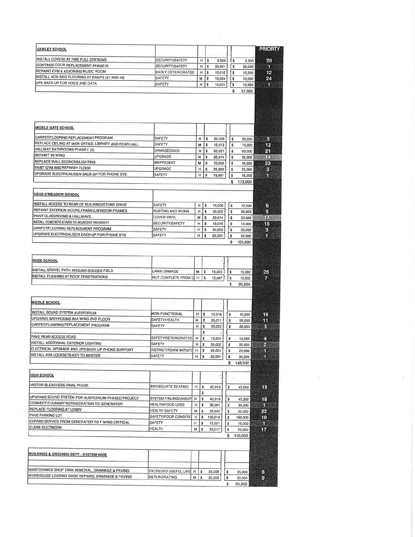| <b>HAWLEY SCHOOL</b>                                                             |                                           |                                                                   |                    |         |                    |                   | <b>PRIORTY</b>          |
|----------------------------------------------------------------------------------|-------------------------------------------|-------------------------------------------------------------------|--------------------|---------|--------------------|-------------------|-------------------------|
| INSTALL COVERS AT FIRE PULL STATIONS                                             |                                           |                                                                   |                    |         |                    |                   |                         |
| CONTINUE DOOR REPLACEMENT-PHASE III                                              | SECURITY/SAFETY                           | H                                                                 | \$                 | 2,520   | \$                 | 2,500             | 20                      |
| REPAINT GYM & ADJOINING MUSIC ROOM                                               | SECURITY/SAFETY                           | н                                                                 | \$                 | 20,001  | \$                 | 20,000            | 1                       |
| INSTALL NON-SKID FLOORING AT RAMPS (97 AND 46)                                   | BADLY DETERIORATED                        | н                                                                 | \$                 | 15,012  | s                  | 15,000            | 12                      |
| UPS BACK-UP FOR VOICE AND DATA                                                   | SAFETY                                    | M                                                                 | $\pmb{\mathbb{S}}$ | 10,024  | s                  | 10,000            | 24                      |
|                                                                                  | SAFETY                                    | H                                                                 | \$                 | 10,001  | \$<br>\$           | 10,000<br>57,500  | $\mathbf{1}$            |
|                                                                                  |                                           |                                                                   |                    |         |                    |                   |                         |
| <b>MIDDLE GATE SCHOOL</b>                                                        |                                           |                                                                   |                    |         |                    |                   |                         |
| CARPET/FLOORING REPLACEMENT PROGRAM                                              | SAFETY                                    | н                                                                 | $\mathsf{s}$       | 20,003  | $\boldsymbol{s}$   | 20,000            | $\mathbf{3}$            |
| REPLACE CEILING AT MAIN OFFICE, LIBRARY AND REAR HALL                            | SAFETY                                    | M                                                                 | \$                 | 15,013  | \$                 | 15,000            | 13                      |
| HALLWAY BATHROOMS-PHASE ! (2)                                                    | DAMAGED/ADA                               | М                                                                 | \$                 | 60,021  | \$                 | 60,000            | 21                      |
| REPAINT '92 WING                                                                 | <b>UPGRADE</b>                            | н                                                                 | \$                 | 25,014  | s.                 | 25,000            | 14                      |
| REPLACE WALL SCONCES/LIGHTING                                                    | <b>INEFFICIENT</b>                        | м                                                                 | 5                  | 10,023  | \$                 | 10,000            | 23                      |
| PAINT GYM AND REFINISH FLOOR                                                     | <b>UPGRADE</b>                            | H                                                                 | \$                 | 25,003  | \$                 | 25,000            | 3                       |
| UPGRADE ELECTRICAL/GEN BACK-UP FOR PHONE SYS.                                    | SAFETY                                    | H                                                                 | s                  | 18,001  | \$                 | 18,000            | 0                       |
|                                                                                  |                                           |                                                                   |                    |         |                    | \$173,000         |                         |
| <b>HEAD O'MEADOW SCHOOL</b>                                                      |                                           |                                                                   |                    |         |                    |                   |                         |
| INSTALL ACCESS TO REAR OF BUILDING//STONE DRIVE                                  |                                           |                                                                   |                    |         |                    |                   |                         |
| REPAINT EXTERIOR DOORS FRAMES WINDOW FRAMES                                      | SAFETY                                    | $H \succeq$                                                       |                    | 15,006  | S.                 | 15,000            | 6                       |
| PAINT CLASSROOMS & HALLWAYS                                                      | <b>RUSTING AND WORN</b>                   | H                                                                 | \$                 | 20,005  | \$                 | 20,000            | 5                       |
| INSTALL CONCRETE STAIRS TO ADJACENT PROPERTY                                     | <b>COVER VINYL</b>                        | M                                                                 | \$                 | 20,014  | \$                 | 20,000            | 14                      |
|                                                                                  | SECURITY/SAFETY                           | H                                                                 | \$                 | 10,015  | \$                 | 10,000            | 15                      |
| CARPET/FLOORING REPLACEMENT PROGRAM                                              | SAFETY                                    | н                                                                 | l \$               | 20,003  | $\pmb{\mathbb{S}}$ | 20,000            | $\mathbf{3}$            |
| UPGRADE ELECTRICAL/GEN BACK-UP FOR PHONE SYS                                     | SAFETY                                    | H                                                                 | \$                 | 20,001  | \$<br>s            | 20,000<br>105,000 | 1                       |
| INSTALL GRAVEL PATH AROUND SOCCER FIELD<br>INSTALL FLASHING AT ROOF PENETRATIONS | LAWN DAMAGE<br>NOT COMPLETE FROM C H   \$ | м                                                                 | l s                | 15,025  | $\pmb{\mathbb{S}}$ | 15,000            | 25                      |
|                                                                                  |                                           |                                                                   |                    | 15,007  | s<br>s             | 15,000<br>30,000  | 7                       |
|                                                                                  |                                           |                                                                   |                    |         |                    |                   |                         |
| <b>MIDDLE SCHOOL</b>                                                             |                                           |                                                                   |                    |         |                    |                   |                         |
| INSTALL SOUND SYSTEM AUDITORIUM                                                  | NON-FUNCTIONAL                            | H                                                                 | $\sqrt{2}$         | 10,016  | $\mathbb S$        |                   |                         |
| UPGRADE BATHROOMS IN A WING 2ND FLOOR                                            | SAFETY/HEALTH                             | н                                                                 | s                  | 25,011  | \$                 | 10,000            | 16<br>11                |
| CARPET/FLOORING REPLACEMENT PROGRAM                                              | SAFETY                                    | н                                                                 | \$                 |         | \$                 | 25,000            |                         |
|                                                                                  |                                           |                                                                   | \$                 | 30,003  |                    | 30,000            | $\overline{\mathbf{3}}$ |
| PAVE REAR ACCESS ROAD                                                            | SAFETY/DETERIORATED   H                   |                                                                   | \$                 | 13,504  | \$                 | 13,500            | 4                       |
| INSTALL ADDITIONAL EXTERIOR LIGHTING                                             | SAFETY                                    | H                                                                 | \$                 | 20,002  | \$                 | 20.000            | $\overline{2}$          |
| ELECTRICAL UPGRADE AND UPS BACK-UP PHONE SUPPORT                                 | DISTRICT/TOWN INITIATI H   \$             |                                                                   |                    | 20,001  | $\pmb{\$}$         | 20,000            | 1                       |
| <b>INSTALL ADA LOCKSETS-KEY TO MASTER</b>                                        | SAFETY                                    | $H \succeq$                                                       |                    | 30,001  | \$                 | 30,000            | 1                       |
|                                                                                  |                                           |                                                                   |                    |         |                    | \$148,500         |                         |
| <b>HIGH SCHOOL</b>                                                               |                                           |                                                                   |                    |         |                    |                   |                         |
| VISITOR BLEACHERS-FINAL PHASE                                                    | <b>INADEQUATE SEATING</b>                 | $H$ \$                                                            |                    | 45,019  | \$                 | 45,000            | 19                      |
|                                                                                  |                                           |                                                                   | \$                 |         |                    |                   |                         |
| UPGRADE SOUND SYSTEM FOR AUDITORIUM-PHASED PROJECT                               | SYSTEM FAILING/UNSUP                      | H                                                                 | \$                 | 45,018  | \$                 | 45,000            | 18                      |
| CONNECT CULINARY REFRIGERATION TO GENERATOR                                      | <b>HEALTH/FOOD LOSS</b>                   | H                                                                 | \$                 | 30,001  | $\pmb{\$}$         | 30,000            | п                       |
| REPLACE FLOORING AT LOBBY                                                        | HEALTH SAFETY                             | M                                                                 | \$                 | 35,022  | \$                 | 35,000            | 22                      |
| PAVE PARKING LOT                                                                 | SAFETY/POOR CONDITIO                      | $\mathsf{H}% _{\mathsf{H}}^{\ast}=\mathsf{H}_{\mathsf{H}}^{\ast}$ | \$                 | 190,010 | $\pmb{\mathbb{S}}$ | 190,000           | 10                      |
| EXPAND SERVICE FROM GENERATOR TO F WING CRITICAL                                 | SAFETY                                    | $\mathsf{H}% _{\mathsf{H}}^{\ast}(\mathcal{M}_{0})$<br>\$         |                    | 15,001  | \$                 | 15,000            | п                       |
| <b>CLEAN DUCTWORK</b>                                                            | <b>HEALTH</b>                             | M.<br>$\pmb{\mathbb{S}}$                                          |                    | 50,017  | \$                 | 50,000            | 17                      |
|                                                                                  |                                           |                                                                   |                    |         | \$                 | 410,000           |                         |
|                                                                                  |                                           |                                                                   |                    |         |                    |                   |                         |
| BUILDINGS & GROUNDS DEPT - SYSTEM WIDE                                           |                                           |                                                                   |                    |         |                    |                   |                         |
| MAINTENANCE SHOP TANK REMOVAL, DRAINAGE & PAVING                                 |                                           |                                                                   |                    |         |                    |                   |                         |
| WAREHOUSE LOADING DOCK REPAIRS, DRAINAGE & PAVING                                | <b>EXCEEDED USEFUL LIFE</b>               | H<br>\$                                                           |                    | 35,008  | \$                 | 35,000            | 8                       |
|                                                                                  | DETERIORATING                             | M<br>\$                                                           |                    | 20,009  | $\pmb{\mathbb{S}}$ | 20,000            | 9                       |
|                                                                                  |                                           |                                                                   |                    |         | \$                 | 55,000            |                         |

V,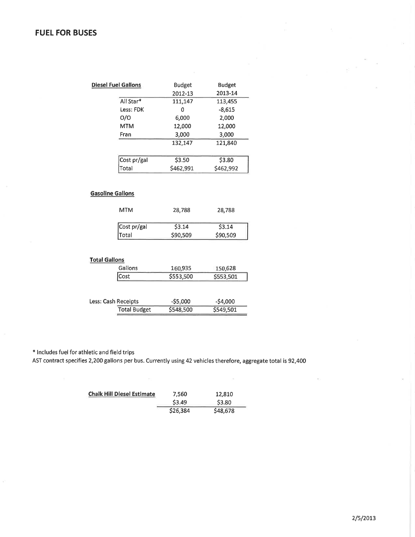| <b>Diesel Fuel Gallons</b> |                     | <b>Budget</b> | <b>Budget</b> |
|----------------------------|---------------------|---------------|---------------|
|                            |                     | 2012-13       | 2013-14       |
|                            | All Star*           | 111,147       | 113,455       |
|                            | Less: FDK           | 0             | $-8,615$      |
|                            | O/O                 | 6,000         | 2,000         |
|                            | <b>MTM</b>          | 12,000        | 12,000        |
|                            | Fran                | 3,000         | 3,000         |
|                            |                     | 132,147       | 121,840       |
|                            | Cost pr/gal         | \$3.50        | \$3.80        |
|                            | Total               | \$462,991     | \$462,992     |
|                            | <b>MTM</b>          | 28,788        | 28,788        |
|                            | Cost pr/gal         | \$3.14        | \$3.14        |
|                            | Total               | \$90,509      | \$90,509      |
|                            |                     |               |               |
|                            |                     |               |               |
|                            | Gallons             | 160,935       | 150,628       |
| <b>Total Gallons</b>       | Cost                | \$553,500     | \$553,501     |
| Less: Cash Receipts        | <b>Total Budget</b> | $-$ \$5,000   | $-$4,000$     |

\* Includes fuel for athletic and field trips

 $\mu$ 

AST contract specifies 2,200 gallons per bus. Currently using 42 vehicles therefore, aggregate total is 92,400

 $\mu$ 

| <b>Chalk Hill Diesel Estimate</b> | 7,560    | 12,810   |
|-----------------------------------|----------|----------|
|                                   | \$3.49   | S3.80    |
|                                   | \$26,384 | \$48,678 |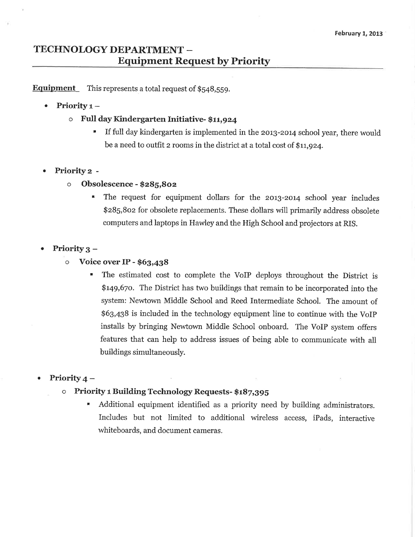## TECHNOLOGY DEPARTMENT -**Equipment Request by Priority**

**Equipment** This represents a total request of  $$548,559$ .

- Priority  $1 \bullet$ 
	- Full day Kindergarten Initiative-\$11,924  $\circ$ 
		- If full day kindergarten is implemented in the 2013-2014 school year, there would be a need to outfit 2 rooms in the district at a total cost of \$11,924.
- Priority 2 -
	- Obsolescence \$285,802  $\circ$ 
		- The request for equipment dollars for the 2013-2014 school year includes \$285,802 for obsolete replacements. These dollars will primarily address obsolete computers and laptops in Hawley and the High School and projectors at RIS.

#### Priority  $3 \bullet$

- $\circ$ Voice over IP - \$63,438
	- The estimated cost to complete the VoIP deploys throughout the District is \$149,670. The District has two buildings that remain to be incorporated into the system: Newtown Middle School and Reed Intermediate School. The amount of \$63,438 is included in the technology equipment line to continue with the VoIP installs by bringing Newtown Middle School onboard. The VoIP system offers features that can help to address issues of being able to communicate with all buildings simultaneously.

#### Priority  $4-$

- Priority 1 Building Technology Requests- \$187,395  $\circ$ 
	- × Additional equipment identified as a priority need by building administrators. Includes but not limited to additional wireless access, iPads, interactive whiteboards, and document cameras.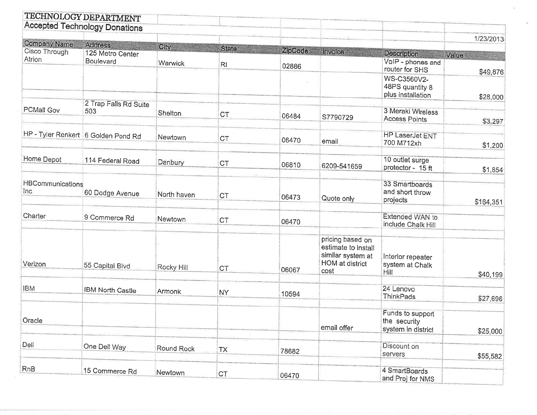|                                | TECHNOLOGY DEPARTMENT<br><b>Accepted Technology Donations</b> |             |              |         |                                                                                         |                                                        |                                    |
|--------------------------------|---------------------------------------------------------------|-------------|--------------|---------|-----------------------------------------------------------------------------------------|--------------------------------------------------------|------------------------------------|
|                                |                                                               |             |              |         |                                                                                         |                                                        | 1/23/2013                          |
| Company Name<br>Cisco Through  | Address<br>125 Metro Center                                   | City        | <b>State</b> | ZipCode | Invoice                                                                                 | <b>Description</b>                                     |                                    |
| Atrion                         | Boulevard                                                     | Warwick     | RI           | 02886   |                                                                                         | VoIP - phones and<br>router for SHS                    | Value<br><b>MAN BA</b><br>\$49,876 |
|                                |                                                               |             |              |         |                                                                                         | WS-C3560V2-<br>48PS quantity 8<br>plus installation    | \$28,000                           |
| PCMall Gov                     | 2 Trap Falls Rd Suite<br>503                                  | Shelton     | <b>CT</b>    | 06484   | S7790729                                                                                | 3 Meraki Wireless<br><b>Access Points</b>              | \$3,297                            |
|                                | HP - Tyler Renkert 6 Golden Pond Rd                           | Newtown     | <b>CT</b>    | 06470   | email                                                                                   | <b>HP LaserJet ENT</b><br>700 M712xh                   | \$1,200                            |
| Home Depot                     | 114 Federal Road                                              | Danbury     | <b>CT</b>    | 06810   | 6209-541659                                                                             | 10 outlet surge<br>protector - 15 ft                   | \$1,854                            |
| <b>HBCommunications</b><br>Inc | 60 Dodge Avenue                                               | North haven | <b>CT</b>    | 06473   | Quote only                                                                              | 33 Smartboards<br>and short throw<br>projects          | \$164,351                          |
| Charter                        | 9 Commerce Rd                                                 | Newtown     | <b>CT</b>    | 06470   |                                                                                         | Extended WAN to<br>include Chalk Hill                  |                                    |
| Verizon                        | 55 Capital Blvd                                               | Rocky Hill  | <b>CT</b>    | 06067   | pricing based on<br>estimate to install<br>similar system at<br>HOM at district<br>cost | Interior repeater<br>system at Chalk<br>Hill           | \$40,199                           |
| <b>IBM</b>                     | <b>IBM North Castle</b>                                       | Armonk      | <b>NY</b>    | 10594   |                                                                                         | 24 Lenovo<br>ThinkPads                                 | \$27,696                           |
| Oracle                         |                                                               |             |              |         | email offer                                                                             | Funds to support<br>the security<br>system in district | \$25,000                           |
| Dell                           | One Dell Way                                                  | Round Rock  | <b>TX</b>    | 78682   |                                                                                         | Discount on<br>servers                                 | \$55,582                           |
| <b>RnB</b>                     | 15 Commerce Rd                                                | Newtown     | <b>CT</b>    | 06470   |                                                                                         | 4 SmartBoards<br>and Proj for NMS                      |                                    |

 $1 - 1 - 1 = 1$ 

 $\bar{w}_1$ 

 $\omega$  .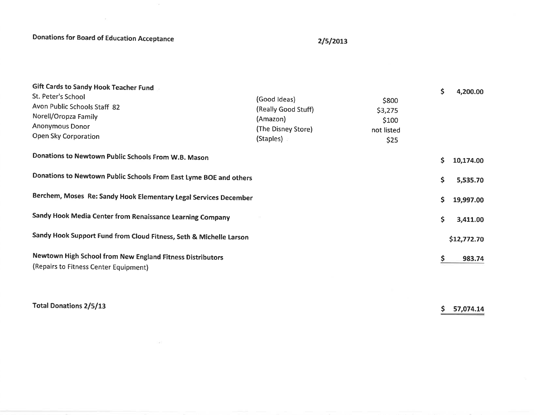**Donations for Board of Education Acceptance** 

 $\sim$ 

### $2/5/2013$

| Gift Cards to Sandy Hook Teacher Fund<br>St. Peter's School<br>Avon Public Schools Staff 82<br>Norell/Oropza Family<br><b>Anonymous Donor</b><br>Open Sky Corporation | (Good Ideas)<br>(Really Good Stuff)<br>(Amazon)<br>(The Disney Store)<br>(Staples) | \$800<br>\$3,275<br>\$100<br>not listed<br>\$25 | \$ | 4,200.00    |
|-----------------------------------------------------------------------------------------------------------------------------------------------------------------------|------------------------------------------------------------------------------------|-------------------------------------------------|----|-------------|
| Donations to Newtown Public Schools From W.B. Mason                                                                                                                   |                                                                                    |                                                 | \$ | 10,174.00   |
| Donations to Newtown Public Schools From East Lyme BOE and others                                                                                                     |                                                                                    |                                                 | \$ | 5,535.70    |
| Berchem, Moses Re: Sandy Hook Elementary Legal Services December                                                                                                      |                                                                                    |                                                 |    |             |
| Sandy Hook Media Center from Renaissance Learning Company                                                                                                             |                                                                                    |                                                 | \$ | 3,411.00    |
| Sandy Hook Support Fund from Cloud Fitness, Seth & Michelle Larson                                                                                                    |                                                                                    |                                                 |    | \$12,772.70 |
| Newtown High School from New England Fitness Distributors<br>(Repairs to Fitness Center Equipment)                                                                    |                                                                                    |                                                 | \$ | 983.74      |

**Total Donations 2/5/13** 

 $$ 57,074.14$